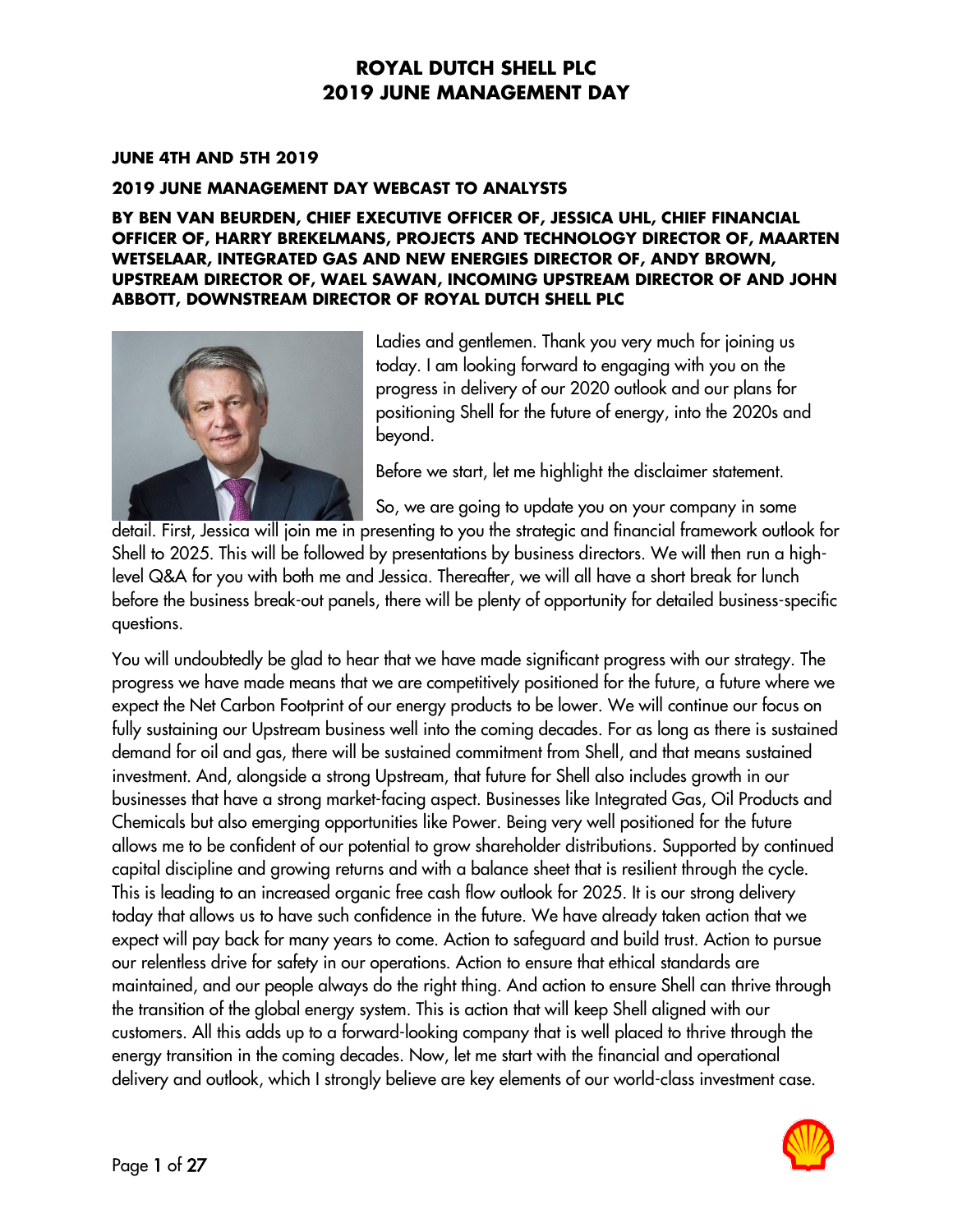#### **JUNE 4TH AND 5TH 2019**

#### **2019 JUNE MANAGEMENT DAY WEBCAST TO ANALYSTS**

**BY BEN VAN BEURDEN, CHIEF EXECUTIVE OFFICER OF, JESSICA UHL, CHIEF FINANCIAL OFFICER OF, HARRY BREKELMANS, PROJECTS AND TECHNOLOGY DIRECTOR OF, MAARTEN WETSELAAR, INTEGRATED GAS AND NEW ENERGIES DIRECTOR OF, ANDY BROWN, UPSTREAM DIRECTOR OF, WAEL SAWAN, INCOMING UPSTREAM DIRECTOR OF AND JOHN ABBOTT, DOWNSTREAM DIRECTOR OF ROYAL DUTCH SHELL PLC**



Ladies and gentlemen. Thank you very much for joining us today. I am looking forward to engaging with you on the progress in delivery of our 2020 outlook and our plans for positioning Shell for the future of energy, into the 2020s and beyond.

Before we start, let me highlight the disclaimer statement.

So, we are going to update you on your company in some

detail. First, Jessica will join me in presenting to you the strategic and financial framework outlook for Shell to 2025. This will be followed by presentations by business directors. We will then run a highlevel Q&A for you with both me and Jessica. Thereafter, we will all have a short break for lunch before the business break-out panels, there will be plenty of opportunity for detailed business-specific questions.

You will undoubtedly be glad to hear that we have made significant progress with our strategy. The progress we have made means that we are competitively positioned for the future, a future where we expect the Net Carbon Footprint of our energy products to be lower. We will continue our focus on fully sustaining our Upstream business well into the coming decades. For as long as there is sustained demand for oil and gas, there will be sustained commitment from Shell, and that means sustained investment. And, alongside a strong Upstream, that future for Shell also includes growth in our businesses that have a strong market-facing aspect. Businesses like Integrated Gas, Oil Products and Chemicals but also emerging opportunities like Power. Being very well positioned for the future allows me to be confident of our potential to grow shareholder distributions. Supported by continued capital discipline and growing returns and with a balance sheet that is resilient through the cycle. This is leading to an increased organic free cash flow outlook for 2025. It is our strong delivery today that allows us to have such confidence in the future. We have already taken action that we expect will pay back for many years to come. Action to safeguard and build trust. Action to pursue our relentless drive for safety in our operations. Action to ensure that ethical standards are maintained, and our people always do the right thing. And action to ensure Shell can thrive through the transition of the global energy system. This is action that will keep Shell aligned with our customers. All this adds up to a forward-looking company that is well placed to thrive through the energy transition in the coming decades. Now, let me start with the financial and operational delivery and outlook, which I strongly believe are key elements of our world-class investment case.

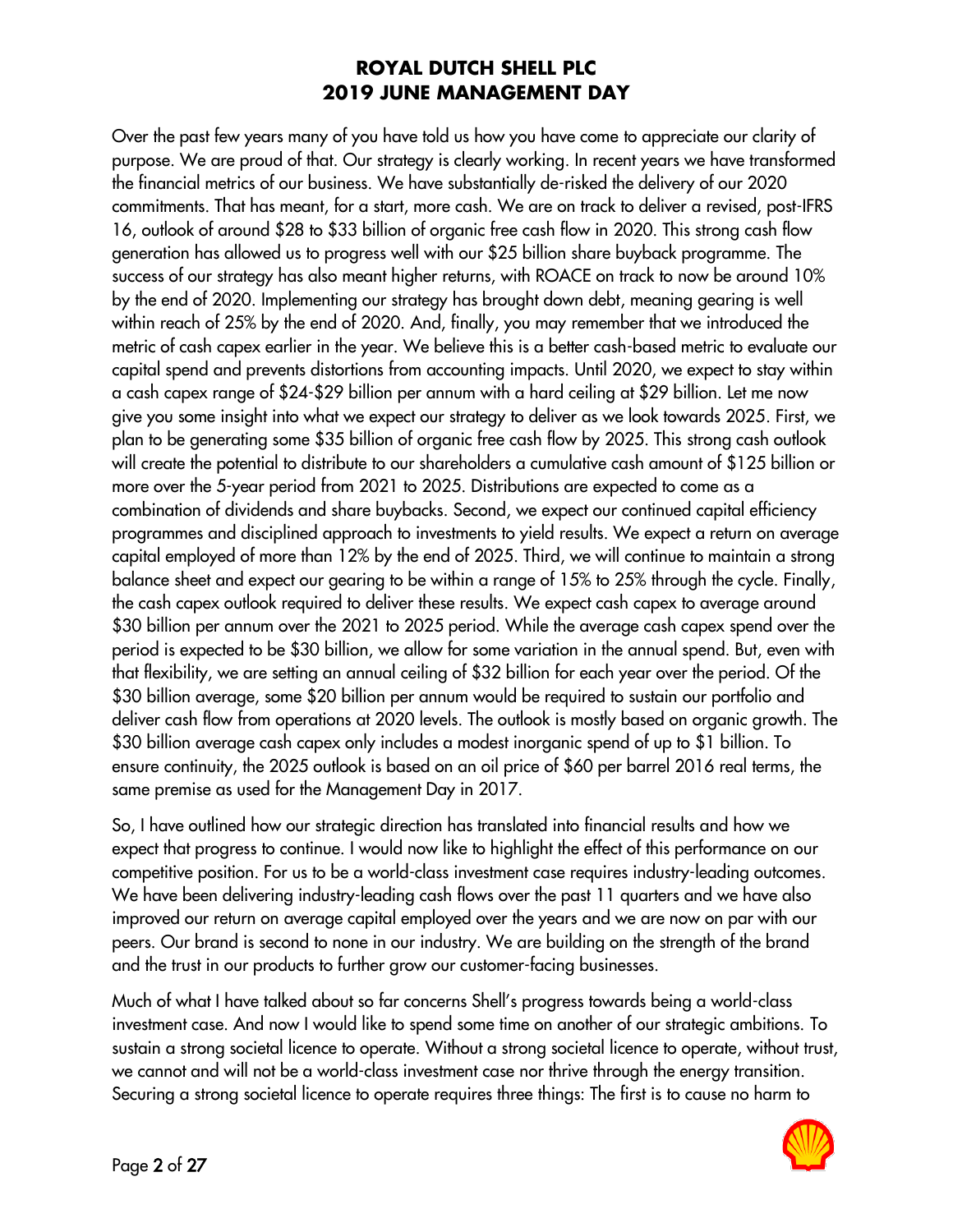Over the past few years many of you have told us how you have come to appreciate our clarity of purpose. We are proud of that. Our strategy is clearly working. In recent years we have transformed the financial metrics of our business. We have substantially de-risked the delivery of our 2020 commitments. That has meant, for a start, more cash. We are on track to deliver a revised, post-IFRS 16, outlook of around \$28 to \$33 billion of organic free cash flow in 2020. This strong cash flow generation has allowed us to progress well with our \$25 billion share buyback programme. The success of our strategy has also meant higher returns, with ROACE on track to now be around 10% by the end of 2020. Implementing our strategy has brought down debt, meaning gearing is well within reach of 25% by the end of 2020. And, finally, you may remember that we introduced the metric of cash capex earlier in the year. We believe this is a better cash-based metric to evaluate our capital spend and prevents distortions from accounting impacts. Until 2020, we expect to stay within a cash capex range of \$24-\$29 billion per annum with a hard ceiling at \$29 billion. Let me now give you some insight into what we expect our strategy to deliver as we look towards 2025. First, we plan to be generating some \$35 billion of organic free cash flow by 2025. This strong cash outlook will create the potential to distribute to our shareholders a cumulative cash amount of \$125 billion or more over the 5-year period from 2021 to 2025. Distributions are expected to come as a combination of dividends and share buybacks. Second, we expect our continued capital efficiency programmes and disciplined approach to investments to yield results. We expect a return on average capital employed of more than 12% by the end of 2025. Third, we will continue to maintain a strong balance sheet and expect our gearing to be within a range of 15% to 25% through the cycle. Finally, the cash capex outlook required to deliver these results. We expect cash capex to average around \$30 billion per annum over the 2021 to 2025 period. While the average cash capex spend over the period is expected to be \$30 billion, we allow for some variation in the annual spend. But, even with that flexibility, we are setting an annual ceiling of \$32 billion for each year over the period. Of the \$30 billion average, some \$20 billion per annum would be required to sustain our portfolio and deliver cash flow from operations at 2020 levels. The outlook is mostly based on organic growth. The \$30 billion average cash capex only includes a modest inorganic spend of up to \$1 billion. To ensure continuity, the 2025 outlook is based on an oil price of \$60 per barrel 2016 real terms, the same premise as used for the Management Day in 2017.

So, I have outlined how our strategic direction has translated into financial results and how we expect that progress to continue. I would now like to highlight the effect of this performance on our competitive position. For us to be a world-class investment case requires industry-leading outcomes. We have been delivering industry-leading cash flows over the past 11 quarters and we have also improved our return on average capital employed over the years and we are now on par with our peers. Our brand is second to none in our industry. We are building on the strength of the brand and the trust in our products to further grow our customer-facing businesses.

Much of what I have talked about so far concerns Shell's progress towards being a world-class investment case. And now I would like to spend some time on another of our strategic ambitions. To sustain a strong societal licence to operate. Without a strong societal licence to operate, without trust, we cannot and will not be a world-class investment case nor thrive through the energy transition. Securing a strong societal licence to operate requires three things: The first is to cause no harm to

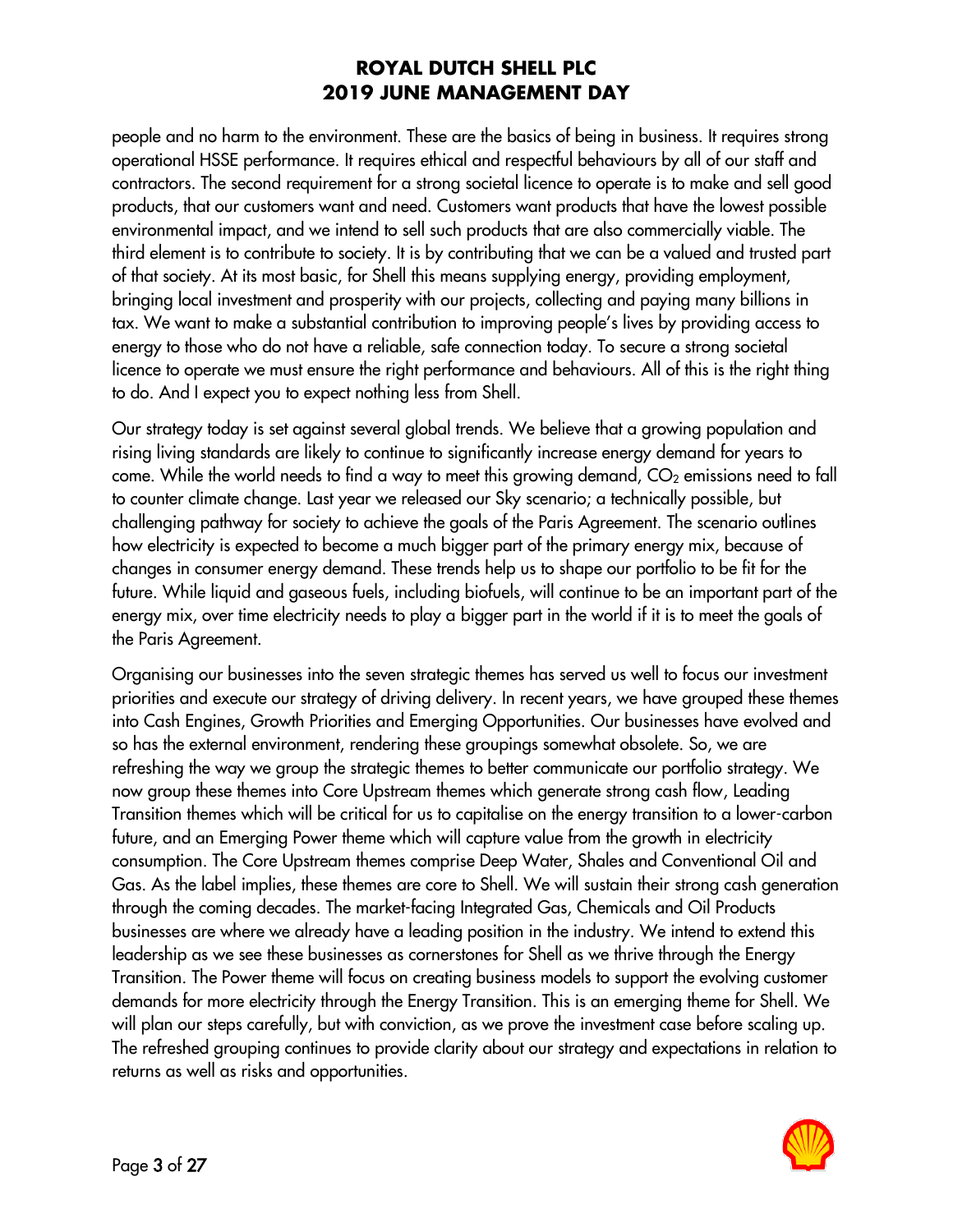people and no harm to the environment. These are the basics of being in business. It requires strong operational HSSE performance. It requires ethical and respectful behaviours by all of our staff and contractors. The second requirement for a strong societal licence to operate is to make and sell good products, that our customers want and need. Customers want products that have the lowest possible environmental impact, and we intend to sell such products that are also commercially viable. The third element is to contribute to society. It is by contributing that we can be a valued and trusted part of that society. At its most basic, for Shell this means supplying energy, providing employment, bringing local investment and prosperity with our projects, collecting and paying many billions in tax. We want to make a substantial contribution to improving people's lives by providing access to energy to those who do not have a reliable, safe connection today. To secure a strong societal licence to operate we must ensure the right performance and behaviours. All of this is the right thing to do. And I expect you to expect nothing less from Shell.

Our strategy today is set against several global trends. We believe that a growing population and rising living standards are likely to continue to significantly increase energy demand for years to come. While the world needs to find a way to meet this growing demand,  $CO<sub>2</sub>$  emissions need to fall to counter climate change. Last year we released our Sky scenario; a technically possible, but challenging pathway for society to achieve the goals of the Paris Agreement. The scenario outlines how electricity is expected to become a much bigger part of the primary energy mix, because of changes in consumer energy demand. These trends help us to shape our portfolio to be fit for the future. While liquid and gaseous fuels, including biofuels, will continue to be an important part of the energy mix, over time electricity needs to play a bigger part in the world if it is to meet the goals of the Paris Agreement.

Organising our businesses into the seven strategic themes has served us well to focus our investment priorities and execute our strategy of driving delivery. In recent years, we have grouped these themes into Cash Engines, Growth Priorities and Emerging Opportunities. Our businesses have evolved and so has the external environment, rendering these groupings somewhat obsolete. So, we are refreshing the way we group the strategic themes to better communicate our portfolio strategy. We now group these themes into Core Upstream themes which generate strong cash flow, Leading Transition themes which will be critical for us to capitalise on the energy transition to a lower-carbon future, and an Emerging Power theme which will capture value from the growth in electricity consumption. The Core Upstream themes comprise Deep Water, Shales and Conventional Oil and Gas. As the label implies, these themes are core to Shell. We will sustain their strong cash generation through the coming decades. The market-facing Integrated Gas, Chemicals and Oil Products businesses are where we already have a leading position in the industry. We intend to extend this leadership as we see these businesses as cornerstones for Shell as we thrive through the Energy Transition. The Power theme will focus on creating business models to support the evolving customer demands for more electricity through the Energy Transition. This is an emerging theme for Shell. We will plan our steps carefully, but with conviction, as we prove the investment case before scaling up. The refreshed grouping continues to provide clarity about our strategy and expectations in relation to returns as well as risks and opportunities.

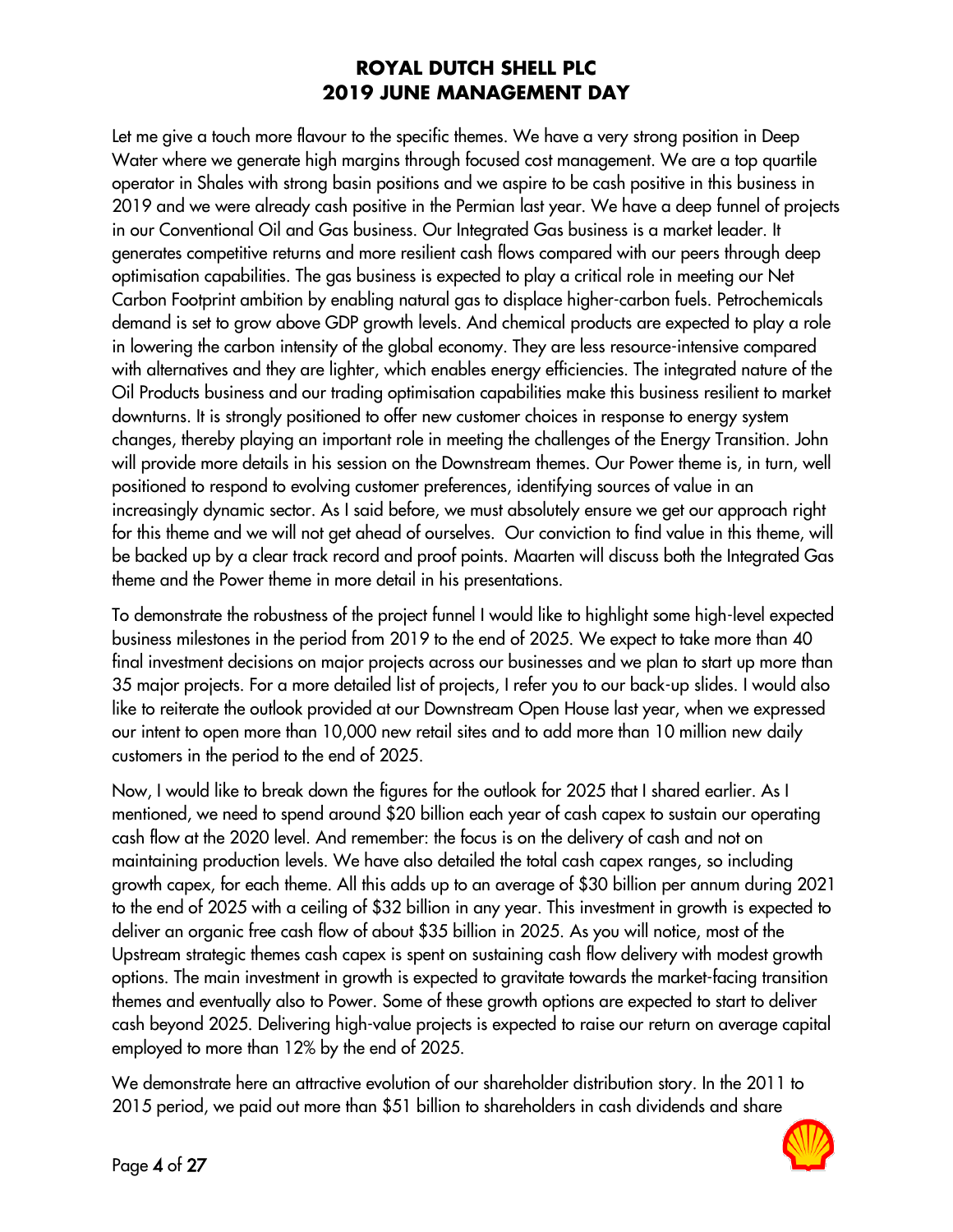Let me give a touch more flavour to the specific themes. We have a very strong position in Deep Water where we generate high margins through focused cost management. We are a top quartile operator in Shales with strong basin positions and we aspire to be cash positive in this business in 2019 and we were already cash positive in the Permian last year. We have a deep funnel of projects in our Conventional Oil and Gas business. Our Integrated Gas business is a market leader. It generates competitive returns and more resilient cash flows compared with our peers through deep optimisation capabilities. The gas business is expected to play a critical role in meeting our Net Carbon Footprint ambition by enabling natural gas to displace higher-carbon fuels. Petrochemicals demand is set to grow above GDP growth levels. And chemical products are expected to play a role in lowering the carbon intensity of the global economy. They are less resource-intensive compared with alternatives and they are lighter, which enables energy efficiencies. The integrated nature of the Oil Products business and our trading optimisation capabilities make this business resilient to market downturns. It is strongly positioned to offer new customer choices in response to energy system changes, thereby playing an important role in meeting the challenges of the Energy Transition. John will provide more details in his session on the Downstream themes. Our Power theme is, in turn, well positioned to respond to evolving customer preferences, identifying sources of value in an increasingly dynamic sector. As I said before, we must absolutely ensure we get our approach right for this theme and we will not get ahead of ourselves. Our conviction to find value in this theme, will be backed up by a clear track record and proof points. Maarten will discuss both the Integrated Gas theme and the Power theme in more detail in his presentations.

To demonstrate the robustness of the project funnel I would like to highlight some high-level expected business milestones in the period from 2019 to the end of 2025. We expect to take more than 40 final investment decisions on major projects across our businesses and we plan to start up more than 35 major projects. For a more detailed list of projects, I refer you to our back-up slides. I would also like to reiterate the outlook provided at our Downstream Open House last year, when we expressed our intent to open more than 10,000 new retail sites and to add more than 10 million new daily customers in the period to the end of 2025.

Now, I would like to break down the figures for the outlook for 2025 that I shared earlier. As I mentioned, we need to spend around \$20 billion each year of cash capex to sustain our operating cash flow at the 2020 level. And remember: the focus is on the delivery of cash and not on maintaining production levels. We have also detailed the total cash capex ranges, so including growth capex, for each theme. All this adds up to an average of \$30 billion per annum during 2021 to the end of 2025 with a ceiling of \$32 billion in any year. This investment in growth is expected to deliver an organic free cash flow of about \$35 billion in 2025. As you will notice, most of the Upstream strategic themes cash capex is spent on sustaining cash flow delivery with modest growth options. The main investment in growth is expected to gravitate towards the market-facing transition themes and eventually also to Power. Some of these growth options are expected to start to deliver cash beyond 2025. Delivering high-value projects is expected to raise our return on average capital employed to more than 12% by the end of 2025.

We demonstrate here an attractive evolution of our shareholder distribution story. In the 2011 to 2015 period, we paid out more than \$51 billion to shareholders in cash dividends and share

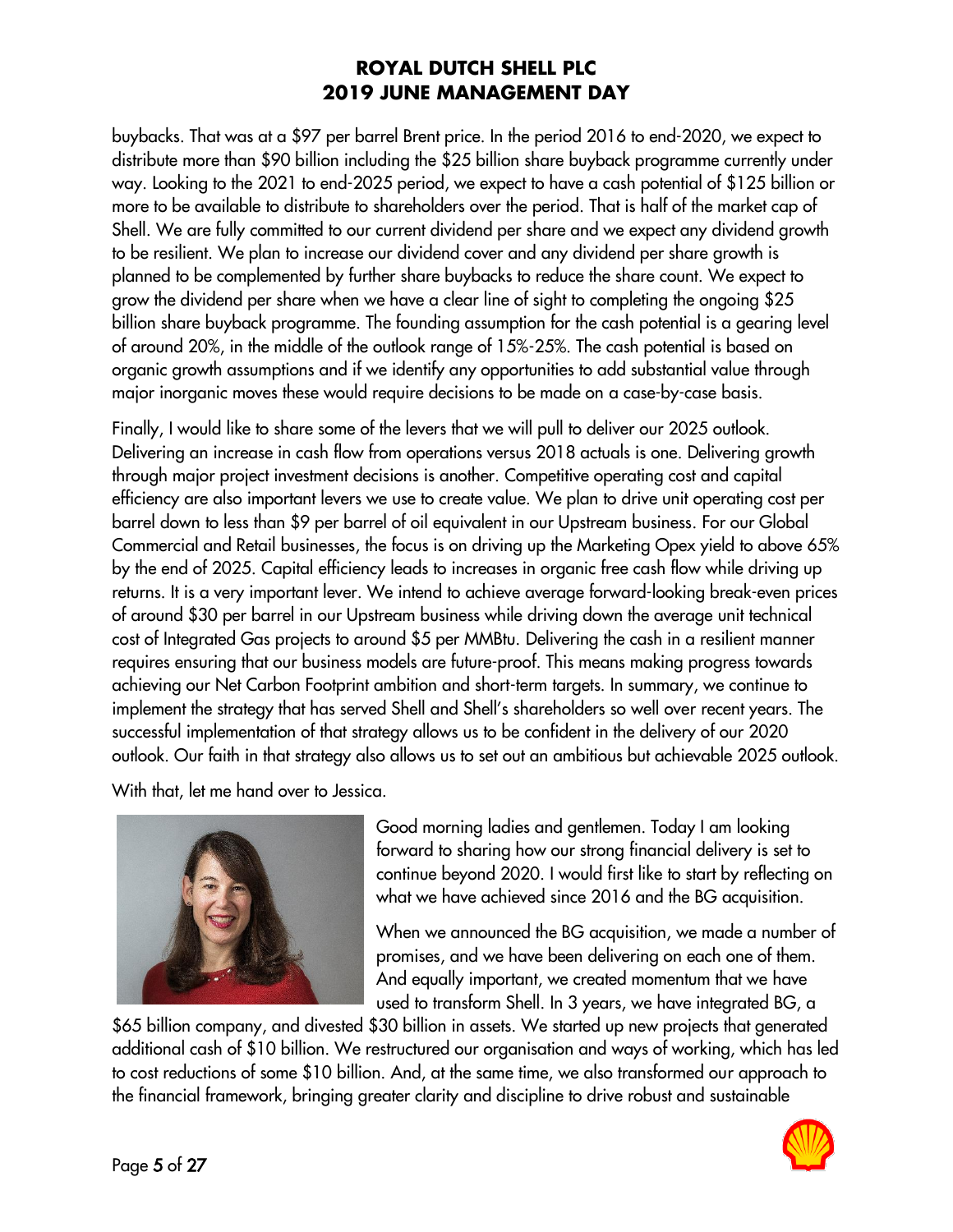buybacks. That was at a \$97 per barrel Brent price. In the period 2016 to end-2020, we expect to distribute more than \$90 billion including the \$25 billion share buyback programme currently under way. Looking to the 2021 to end-2025 period, we expect to have a cash potential of \$125 billion or more to be available to distribute to shareholders over the period. That is half of the market cap of Shell. We are fully committed to our current dividend per share and we expect any dividend growth to be resilient. We plan to increase our dividend cover and any dividend per share growth is planned to be complemented by further share buybacks to reduce the share count. We expect to grow the dividend per share when we have a clear line of sight to completing the ongoing \$25 billion share buyback programme. The founding assumption for the cash potential is a gearing level of around 20%, in the middle of the outlook range of 15%-25%. The cash potential is based on organic growth assumptions and if we identify any opportunities to add substantial value through major inorganic moves these would require decisions to be made on a case-by-case basis.

Finally, I would like to share some of the levers that we will pull to deliver our 2025 outlook. Delivering an increase in cash flow from operations versus 2018 actuals is one. Delivering growth through major project investment decisions is another. Competitive operating cost and capital efficiency are also important levers we use to create value. We plan to drive unit operating cost per barrel down to less than \$9 per barrel of oil equivalent in our Upstream business. For our Global Commercial and Retail businesses, the focus is on driving up the Marketing Opex yield to above 65% by the end of 2025. Capital efficiency leads to increases in organic free cash flow while driving up returns. It is a very important lever. We intend to achieve average forward-looking break-even prices of around \$30 per barrel in our Upstream business while driving down the average unit technical cost of Integrated Gas projects to around \$5 per MMBtu. Delivering the cash in a resilient manner requires ensuring that our business models are future-proof. This means making progress towards achieving our Net Carbon Footprint ambition and short-term targets. In summary, we continue to implement the strategy that has served Shell and Shell's shareholders so well over recent years. The successful implementation of that strategy allows us to be confident in the delivery of our 2020 outlook. Our faith in that strategy also allows us to set out an ambitious but achievable 2025 outlook.

With that, let me hand over to Jessica.



Good morning ladies and gentlemen. Today I am looking forward to sharing how our strong financial delivery is set to continue beyond 2020. I would first like to start by reflecting on what we have achieved since 2016 and the BG acquisition.

When we announced the BG acquisition, we made a number of promises, and we have been delivering on each one of them. And equally important, we created momentum that we have used to transform Shell. In 3 years, we have integrated BG, a

\$65 billion company, and divested \$30 billion in assets. We started up new projects that generated additional cash of \$10 billion. We restructured our organisation and ways of working, which has led to cost reductions of some \$10 billion. And, at the same time, we also transformed our approach to the financial framework, bringing greater clarity and discipline to drive robust and sustainable

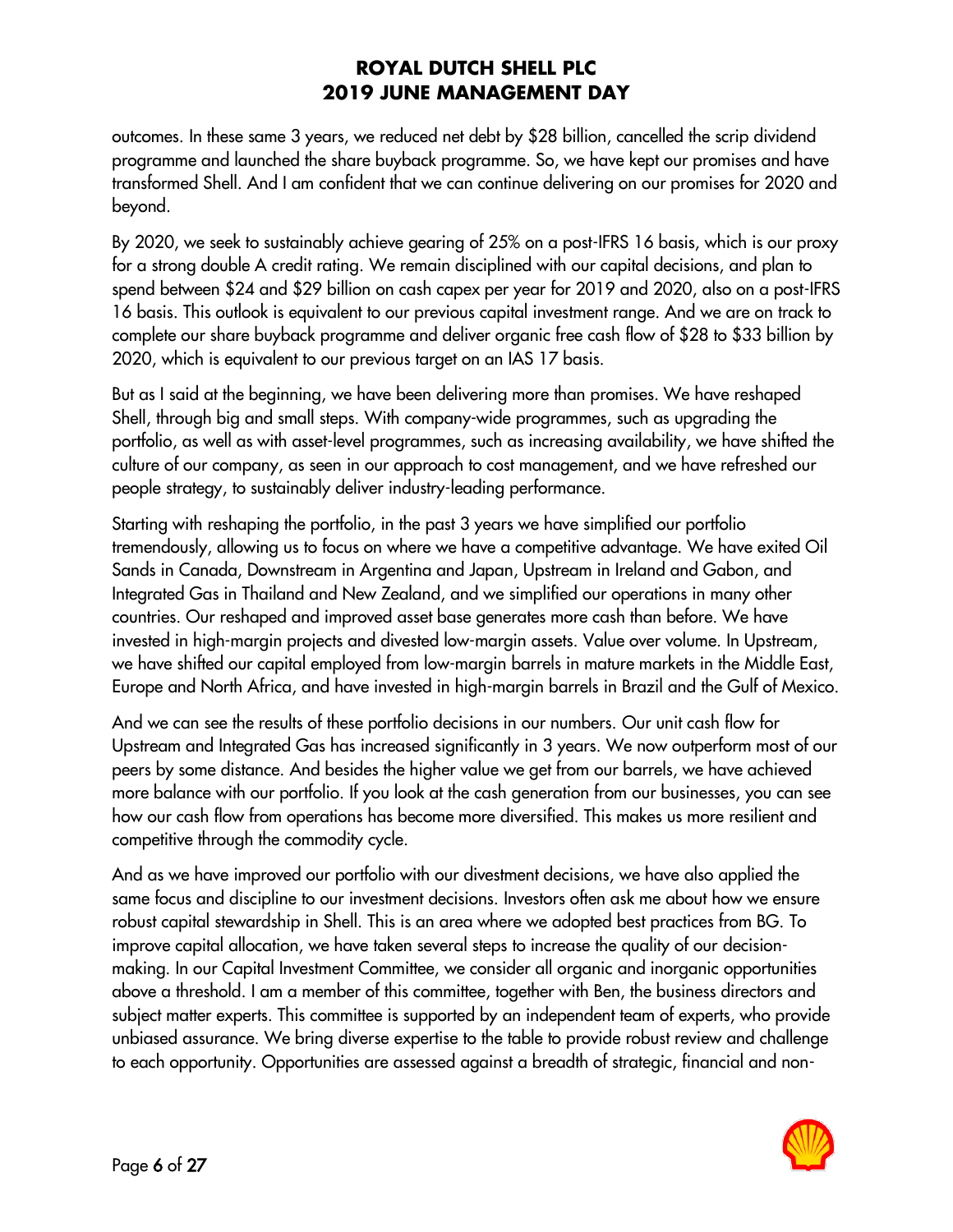outcomes. In these same 3 years, we reduced net debt by \$28 billion, cancelled the scrip dividend programme and launched the share buyback programme. So, we have kept our promises and have transformed Shell. And I am confident that we can continue delivering on our promises for 2020 and beyond.

By 2020, we seek to sustainably achieve gearing of 25% on a post-IFRS 16 basis, which is our proxy for a strong double A credit rating. We remain disciplined with our capital decisions, and plan to spend between \$24 and \$29 billion on cash capex per year for 2019 and 2020, also on a post-IFRS 16 basis. This outlook is equivalent to our previous capital investment range. And we are on track to complete our share buyback programme and deliver organic free cash flow of \$28 to \$33 billion by 2020, which is equivalent to our previous target on an IAS 17 basis.

But as I said at the beginning, we have been delivering more than promises. We have reshaped Shell, through big and small steps. With company-wide programmes, such as upgrading the portfolio, as well as with asset-level programmes, such as increasing availability, we have shifted the culture of our company, as seen in our approach to cost management, and we have refreshed our people strategy, to sustainably deliver industry-leading performance.

Starting with reshaping the portfolio, in the past 3 years we have simplified our portfolio tremendously, allowing us to focus on where we have a competitive advantage. We have exited Oil Sands in Canada, Downstream in Argentina and Japan, Upstream in Ireland and Gabon, and Integrated Gas in Thailand and New Zealand, and we simplified our operations in many other countries. Our reshaped and improved asset base generates more cash than before. We have invested in high-margin projects and divested low-margin assets. Value over volume. In Upstream, we have shifted our capital employed from low-margin barrels in mature markets in the Middle East, Europe and North Africa, and have invested in high-margin barrels in Brazil and the Gulf of Mexico.

And we can see the results of these portfolio decisions in our numbers. Our unit cash flow for Upstream and Integrated Gas has increased significantly in 3 years. We now outperform most of our peers by some distance. And besides the higher value we get from our barrels, we have achieved more balance with our portfolio. If you look at the cash generation from our businesses, you can see how our cash flow from operations has become more diversified. This makes us more resilient and competitive through the commodity cycle.

And as we have improved our portfolio with our divestment decisions, we have also applied the same focus and discipline to our investment decisions. Investors often ask me about how we ensure robust capital stewardship in Shell. This is an area where we adopted best practices from BG. To improve capital allocation, we have taken several steps to increase the quality of our decisionmaking. In our Capital Investment Committee, we consider all organic and inorganic opportunities above a threshold. I am a member of this committee, together with Ben, the business directors and subject matter experts. This committee is supported by an independent team of experts, who provide unbiased assurance. We bring diverse expertise to the table to provide robust review and challenge to each opportunity. Opportunities are assessed against a breadth of strategic, financial and non-

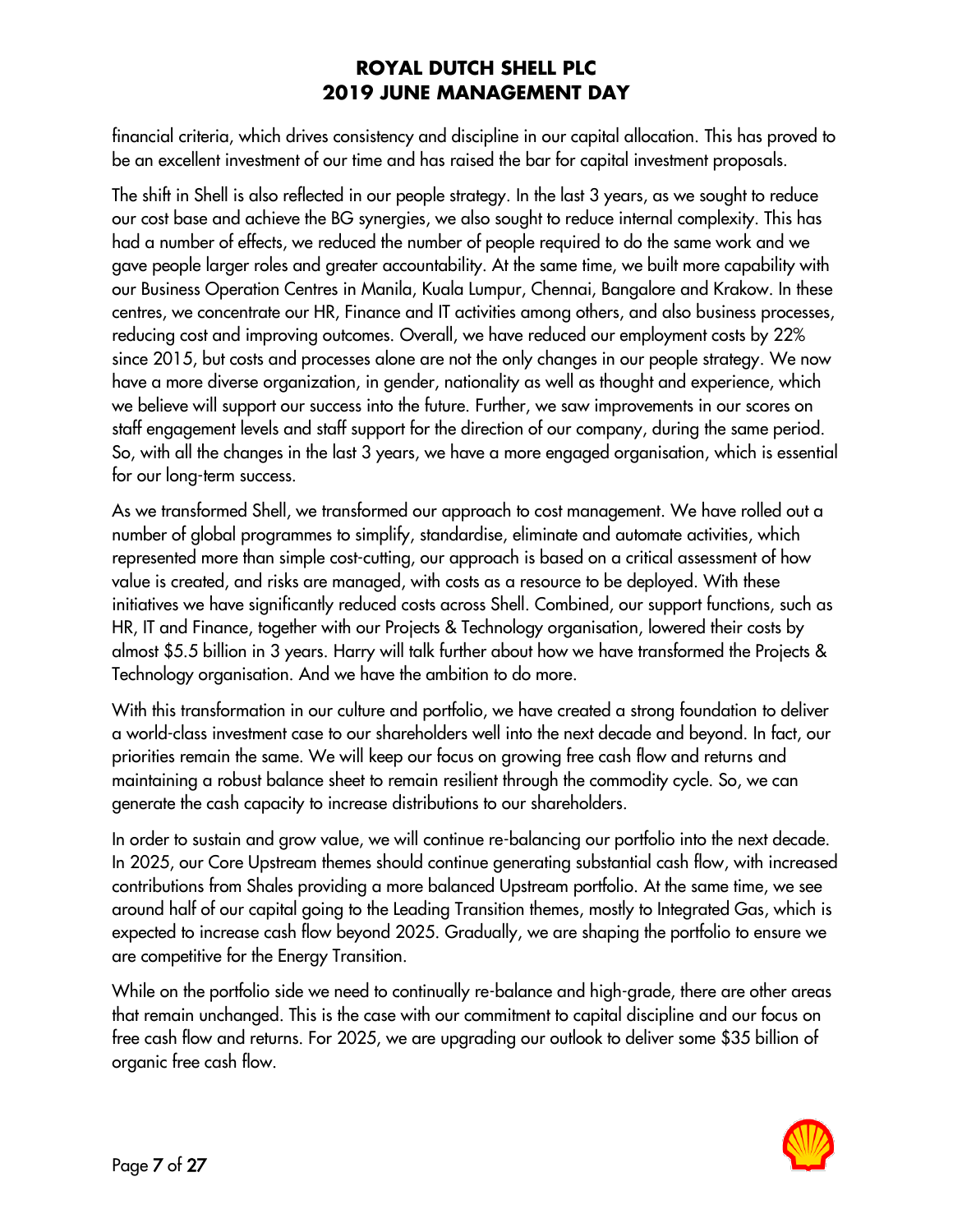financial criteria, which drives consistency and discipline in our capital allocation. This has proved to be an excellent investment of our time and has raised the bar for capital investment proposals.

The shift in Shell is also reflected in our people strategy. In the last 3 years, as we sought to reduce our cost base and achieve the BG synergies, we also sought to reduce internal complexity. This has had a number of effects, we reduced the number of people required to do the same work and we gave people larger roles and greater accountability. At the same time, we built more capability with our Business Operation Centres in Manila, Kuala Lumpur, Chennai, Bangalore and Krakow. In these centres, we concentrate our HR, Finance and IT activities among others, and also business processes, reducing cost and improving outcomes. Overall, we have reduced our employment costs by 22% since 2015, but costs and processes alone are not the only changes in our people strategy. We now have a more diverse organization, in gender, nationality as well as thought and experience, which we believe will support our success into the future. Further, we saw improvements in our scores on staff engagement levels and staff support for the direction of our company, during the same period. So, with all the changes in the last 3 years, we have a more engaged organisation, which is essential for our long-term success.

As we transformed Shell, we transformed our approach to cost management. We have rolled out a number of global programmes to simplify, standardise, eliminate and automate activities, which represented more than simple cost-cutting, our approach is based on a critical assessment of how value is created, and risks are managed, with costs as a resource to be deployed. With these initiatives we have significantly reduced costs across Shell. Combined, our support functions, such as HR, IT and Finance, together with our Projects & Technology organisation, lowered their costs by almost \$5.5 billion in 3 years. Harry will talk further about how we have transformed the Projects & Technology organisation. And we have the ambition to do more.

With this transformation in our culture and portfolio, we have created a strong foundation to deliver a world-class investment case to our shareholders well into the next decade and beyond. In fact, our priorities remain the same. We will keep our focus on growing free cash flow and returns and maintaining a robust balance sheet to remain resilient through the commodity cycle. So, we can generate the cash capacity to increase distributions to our shareholders.

In order to sustain and grow value, we will continue re-balancing our portfolio into the next decade. In 2025, our Core Upstream themes should continue generating substantial cash flow, with increased contributions from Shales providing a more balanced Upstream portfolio. At the same time, we see around half of our capital going to the Leading Transition themes, mostly to Integrated Gas, which is expected to increase cash flow beyond 2025. Gradually, we are shaping the portfolio to ensure we are competitive for the Energy Transition.

While on the portfolio side we need to continually re-balance and high-grade, there are other areas that remain unchanged. This is the case with our commitment to capital discipline and our focus on free cash flow and returns. For 2025, we are upgrading our outlook to deliver some \$35 billion of organic free cash flow.

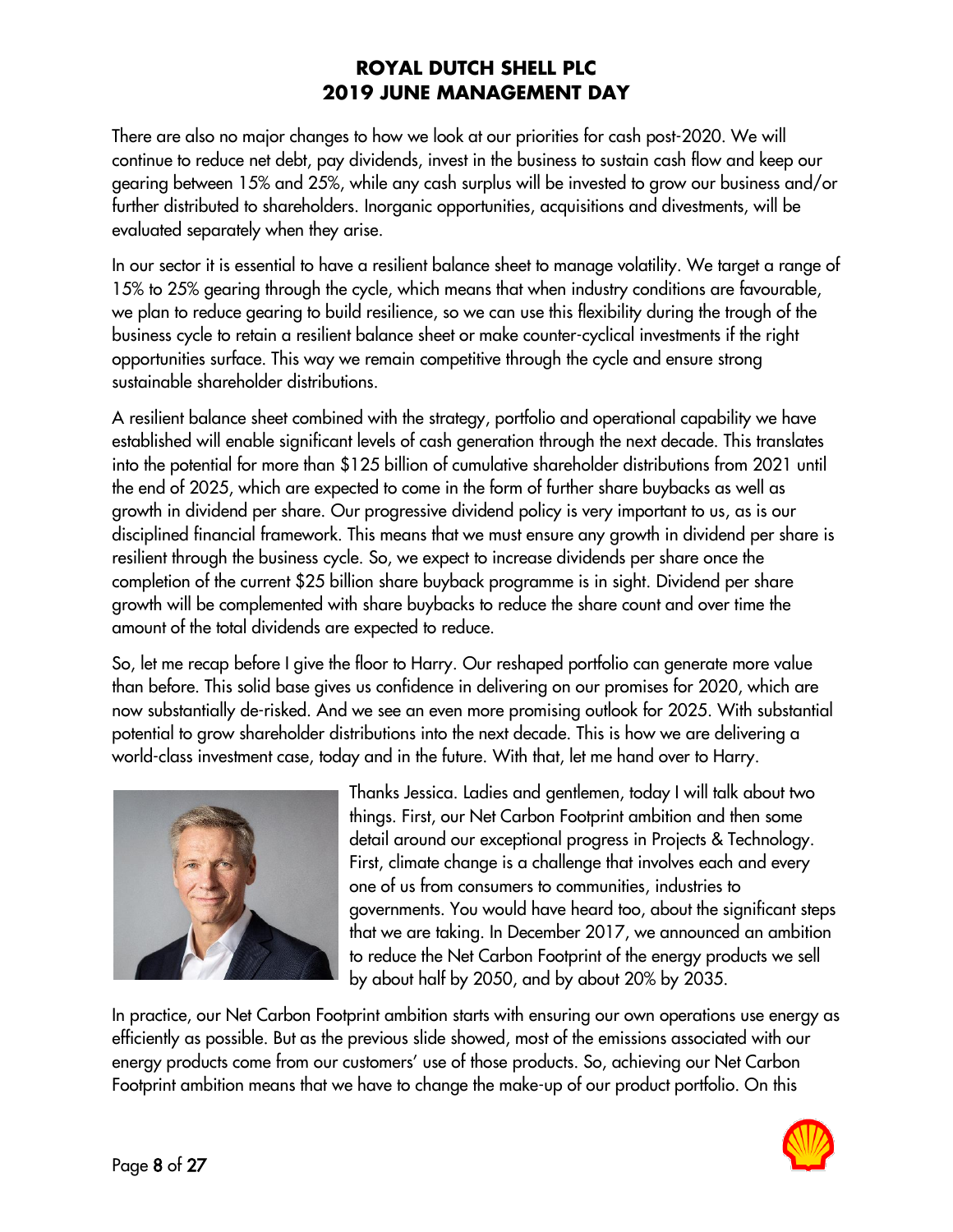There are also no major changes to how we look at our priorities for cash post-2020. We will continue to reduce net debt, pay dividends, invest in the business to sustain cash flow and keep our gearing between 15% and 25%, while any cash surplus will be invested to grow our business and/or further distributed to shareholders. Inorganic opportunities, acquisitions and divestments, will be evaluated separately when they arise.

In our sector it is essential to have a resilient balance sheet to manage volatility. We target a range of 15% to 25% gearing through the cycle, which means that when industry conditions are favourable, we plan to reduce gearing to build resilience, so we can use this flexibility during the trough of the business cycle to retain a resilient balance sheet or make counter-cyclical investments if the right opportunities surface. This way we remain competitive through the cycle and ensure strong sustainable shareholder distributions.

A resilient balance sheet combined with the strategy, portfolio and operational capability we have established will enable significant levels of cash generation through the next decade. This translates into the potential for more than \$125 billion of cumulative shareholder distributions from 2021 until the end of 2025, which are expected to come in the form of further share buybacks as well as growth in dividend per share. Our progressive dividend policy is very important to us, as is our disciplined financial framework. This means that we must ensure any growth in dividend per share is resilient through the business cycle. So, we expect to increase dividends per share once the completion of the current \$25 billion share buyback programme is in sight. Dividend per share growth will be complemented with share buybacks to reduce the share count and over time the amount of the total dividends are expected to reduce.

So, let me recap before I give the floor to Harry. Our reshaped portfolio can generate more value than before. This solid base gives us confidence in delivering on our promises for 2020, which are now substantially de-risked. And we see an even more promising outlook for 2025. With substantial potential to grow shareholder distributions into the next decade. This is how we are delivering a world-class investment case, today and in the future. With that, let me hand over to Harry.



Thanks Jessica. Ladies and gentlemen, today I will talk about two things. First, our Net Carbon Footprint ambition and then some detail around our exceptional progress in Projects & Technology. First, climate change is a challenge that involves each and every one of us from consumers to communities, industries to governments. You would have heard too, about the significant steps that we are taking. In December 2017, we announced an ambition to reduce the Net Carbon Footprint of the energy products we sell by about half by 2050, and by about 20% by 2035.

In practice, our Net Carbon Footprint ambition starts with ensuring our own operations use energy as efficiently as possible. But as the previous slide showed, most of the emissions associated with our energy products come from our customers' use of those products. So, achieving our Net Carbon Footprint ambition means that we have to change the make-up of our product portfolio. On this

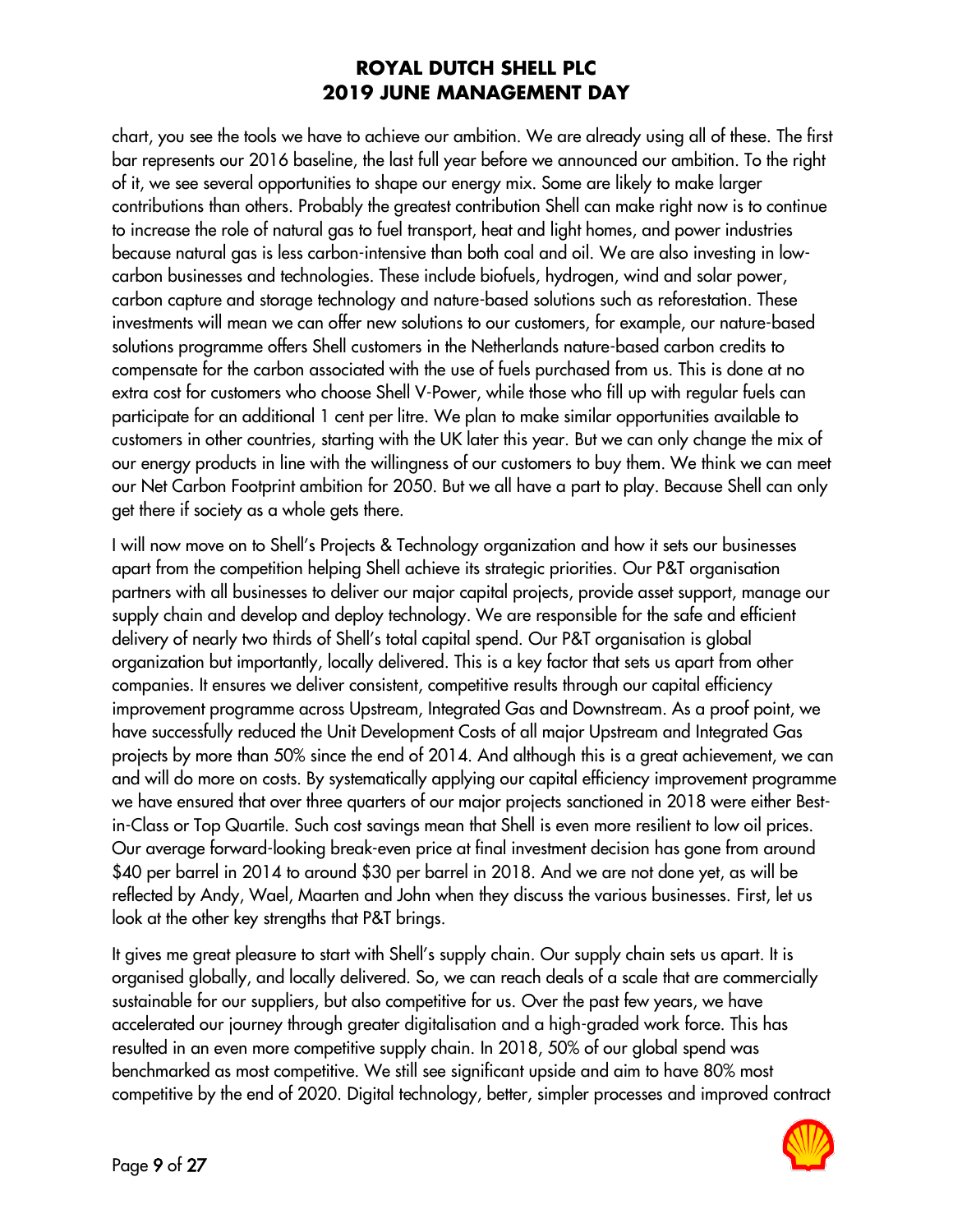chart, you see the tools we have to achieve our ambition. We are already using all of these. The first bar represents our 2016 baseline, the last full year before we announced our ambition. To the right of it, we see several opportunities to shape our energy mix. Some are likely to make larger contributions than others. Probably the greatest contribution Shell can make right now is to continue to increase the role of natural gas to fuel transport, heat and light homes, and power industries because natural gas is less carbon-intensive than both coal and oil. We are also investing in lowcarbon businesses and technologies. These include biofuels, hydrogen, wind and solar power, carbon capture and storage technology and nature-based solutions such as reforestation. These investments will mean we can offer new solutions to our customers, for example, our nature-based solutions programme offers Shell customers in the Netherlands nature-based carbon credits to compensate for the carbon associated with the use of fuels purchased from us. This is done at no extra cost for customers who choose Shell V-Power, while those who fill up with regular fuels can participate for an additional 1 cent per litre. We plan to make similar opportunities available to customers in other countries, starting with the UK later this year. But we can only change the mix of our energy products in line with the willingness of our customers to buy them. We think we can meet our Net Carbon Footprint ambition for 2050. But we all have a part to play. Because Shell can only get there if society as a whole gets there.

I will now move on to Shell's Projects & Technology organization and how it sets our businesses apart from the competition helping Shell achieve its strategic priorities. Our P&T organisation partners with all businesses to deliver our major capital projects, provide asset support, manage our supply chain and develop and deploy technology. We are responsible for the safe and efficient delivery of nearly two thirds of Shell's total capital spend. Our P&T organisation is global organization but importantly, locally delivered. This is a key factor that sets us apart from other companies. It ensures we deliver consistent, competitive results through our capital efficiency improvement programme across Upstream, Integrated Gas and Downstream. As a proof point, we have successfully reduced the Unit Development Costs of all major Upstream and Integrated Gas projects by more than 50% since the end of 2014. And although this is a great achievement, we can and will do more on costs. By systematically applying our capital efficiency improvement programme we have ensured that over three quarters of our major projects sanctioned in 2018 were either Bestin-Class or Top Quartile. Such cost savings mean that Shell is even more resilient to low oil prices. Our average forward-looking break-even price at final investment decision has gone from around \$40 per barrel in 2014 to around \$30 per barrel in 2018. And we are not done yet, as will be reflected by Andy, Wael, Maarten and John when they discuss the various businesses. First, let us look at the other key strengths that P&T brings.

It gives me great pleasure to start with Shell's supply chain. Our supply chain sets us apart. It is organised globally, and locally delivered. So, we can reach deals of a scale that are commercially sustainable for our suppliers, but also competitive for us. Over the past few years, we have accelerated our journey through greater digitalisation and a high-graded work force. This has resulted in an even more competitive supply chain. In 2018, 50% of our global spend was benchmarked as most competitive. We still see significant upside and aim to have 80% most competitive by the end of 2020. Digital technology, better, simpler processes and improved contract

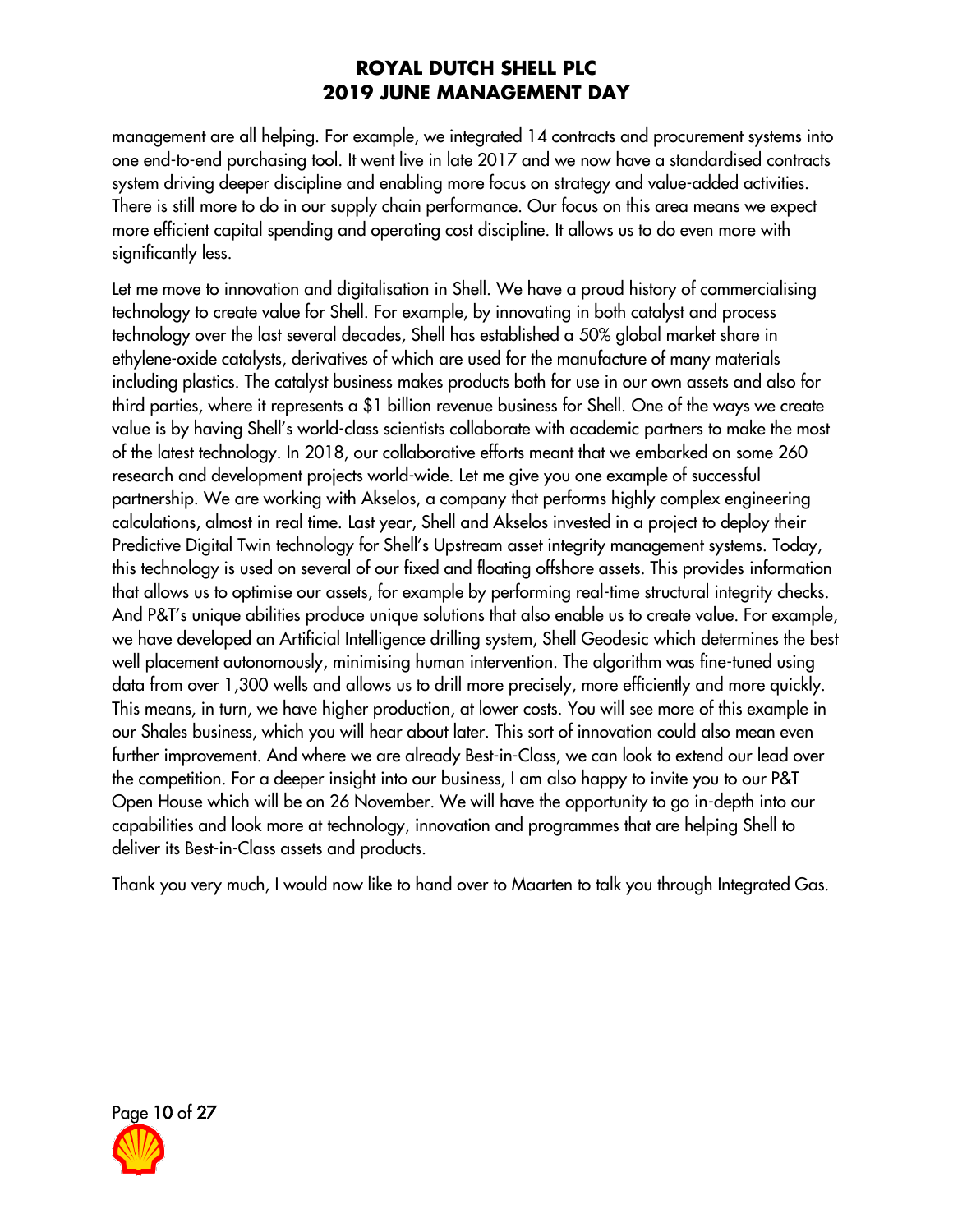management are all helping. For example, we integrated 14 contracts and procurement systems into one end-to-end purchasing tool. It went live in late 2017 and we now have a standardised contracts system driving deeper discipline and enabling more focus on strategy and value-added activities. There is still more to do in our supply chain performance. Our focus on this area means we expect more efficient capital spending and operating cost discipline. It allows us to do even more with significantly less.

Let me move to innovation and digitalisation in Shell. We have a proud history of commercialising technology to create value for Shell. For example, by innovating in both catalyst and process technology over the last several decades, Shell has established a 50% global market share in ethylene-oxide catalysts, derivatives of which are used for the manufacture of many materials including plastics. The catalyst business makes products both for use in our own assets and also for third parties, where it represents a \$1 billion revenue business for Shell. One of the ways we create value is by having Shell's world-class scientists collaborate with academic partners to make the most of the latest technology. In 2018, our collaborative efforts meant that we embarked on some 260 research and development projects world-wide. Let me give you one example of successful partnership. We are working with Akselos, a company that performs highly complex engineering calculations, almost in real time. Last year, Shell and Akselos invested in a project to deploy their Predictive Digital Twin technology for Shell's Upstream asset integrity management systems. Today, this technology is used on several of our fixed and floating offshore assets. This provides information that allows us to optimise our assets, for example by performing real-time structural integrity checks. And P&T's unique abilities produce unique solutions that also enable us to create value. For example, we have developed an Artificial Intelligence drilling system, Shell Geodesic which determines the best well placement autonomously, minimising human intervention. The algorithm was fine-tuned using data from over 1,300 wells and allows us to drill more precisely, more efficiently and more quickly. This means, in turn, we have higher production, at lower costs. You will see more of this example in our Shales business, which you will hear about later. This sort of innovation could also mean even further improvement. And where we are already Best-in-Class, we can look to extend our lead over the competition. For a deeper insight into our business, I am also happy to invite you to our P&T Open House which will be on 26 November. We will have the opportunity to go in-depth into our capabilities and look more at technology, innovation and programmes that are helping Shell to deliver its Best-in-Class assets and products.

Thank you very much, I would now like to hand over to Maarten to talk you through Integrated Gas.

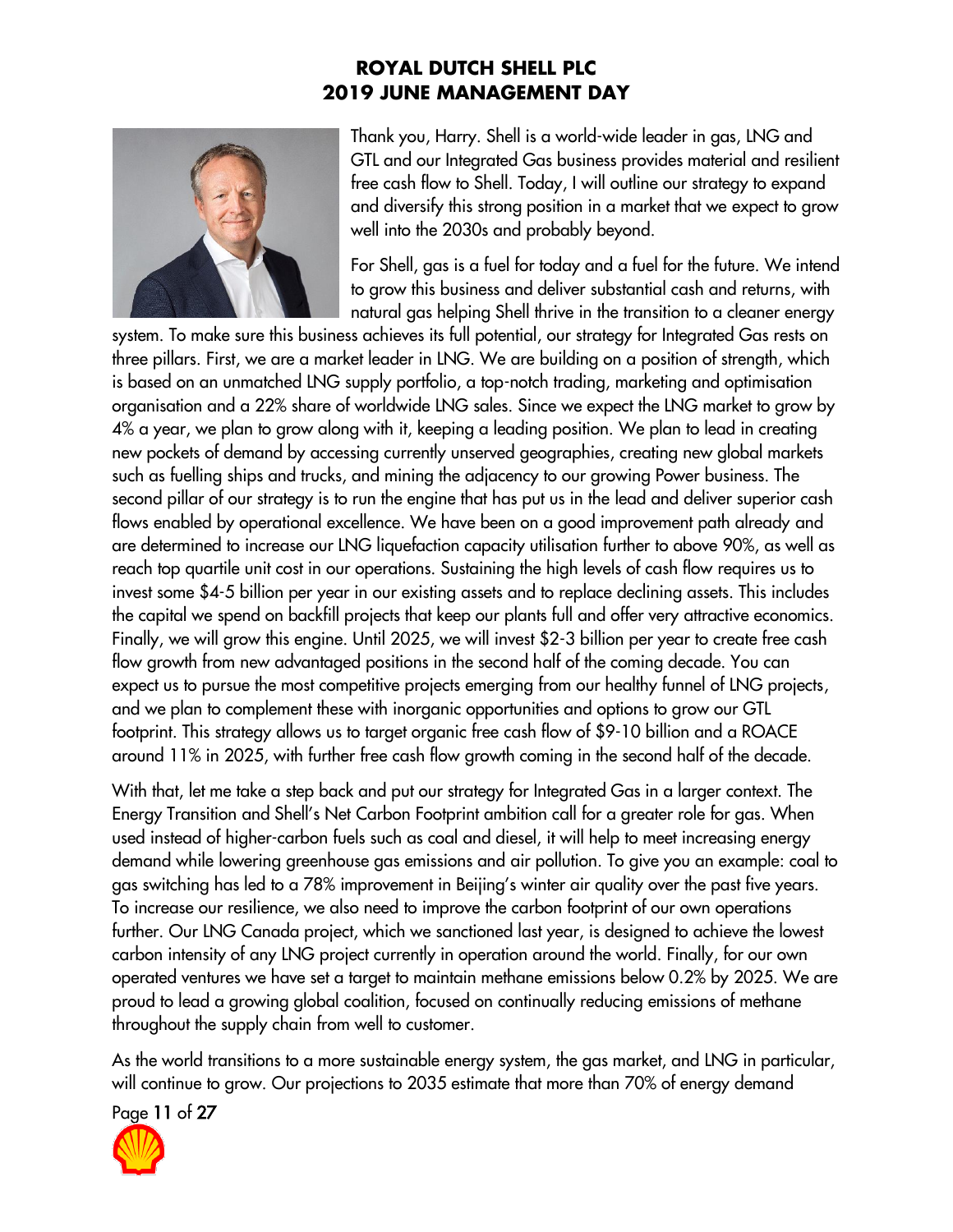

Thank you, Harry. Shell is a world-wide leader in gas, LNG and GTL and our Integrated Gas business provides material and resilient free cash flow to Shell. Today, I will outline our strategy to expand and diversify this strong position in a market that we expect to grow well into the 2030s and probably beyond.

For Shell, gas is a fuel for today and a fuel for the future. We intend to grow this business and deliver substantial cash and returns, with natural gas helping Shell thrive in the transition to a cleaner energy

system. To make sure this business achieves its full potential, our strategy for Integrated Gas rests on three pillars. First, we are a market leader in LNG. We are building on a position of strength, which is based on an unmatched LNG supply portfolio, a top-notch trading, marketing and optimisation organisation and a 22% share of worldwide LNG sales. Since we expect the LNG market to grow by 4% a year, we plan to grow along with it, keeping a leading position. We plan to lead in creating new pockets of demand by accessing currently unserved geographies, creating new global markets such as fuelling ships and trucks, and mining the adjacency to our growing Power business. The second pillar of our strategy is to run the engine that has put us in the lead and deliver superior cash flows enabled by operational excellence. We have been on a good improvement path already and are determined to increase our LNG liquefaction capacity utilisation further to above 90%, as well as reach top quartile unit cost in our operations. Sustaining the high levels of cash flow requires us to invest some \$4-5 billion per year in our existing assets and to replace declining assets. This includes the capital we spend on backfill projects that keep our plants full and offer very attractive economics. Finally, we will grow this engine. Until 2025, we will invest \$2-3 billion per year to create free cash flow growth from new advantaged positions in the second half of the coming decade. You can expect us to pursue the most competitive projects emerging from our healthy funnel of LNG projects, and we plan to complement these with inorganic opportunities and options to grow our GTL footprint. This strategy allows us to target organic free cash flow of \$9-10 billion and a ROACE around 11% in 2025, with further free cash flow growth coming in the second half of the decade.

With that, let me take a step back and put our strategy for Integrated Gas in a larger context. The Energy Transition and Shell's Net Carbon Footprint ambition call for a greater role for gas. When used instead of higher-carbon fuels such as coal and diesel, it will help to meet increasing energy demand while lowering greenhouse gas emissions and air pollution. To give you an example: coal to gas switching has led to a 78% improvement in Beijing's winter air quality over the past five years. To increase our resilience, we also need to improve the carbon footprint of our own operations further. Our LNG Canada project, which we sanctioned last year, is designed to achieve the lowest carbon intensity of any LNG project currently in operation around the world. Finally, for our own operated ventures we have set a target to maintain methane emissions below 0.2% by 2025. We are proud to lead a growing global coalition, focused on continually reducing emissions of methane throughout the supply chain from well to customer.

As the world transitions to a more sustainable energy system, the gas market, and LNG in particular, will continue to grow. Our projections to 2035 estimate that more than 70% of energy demand

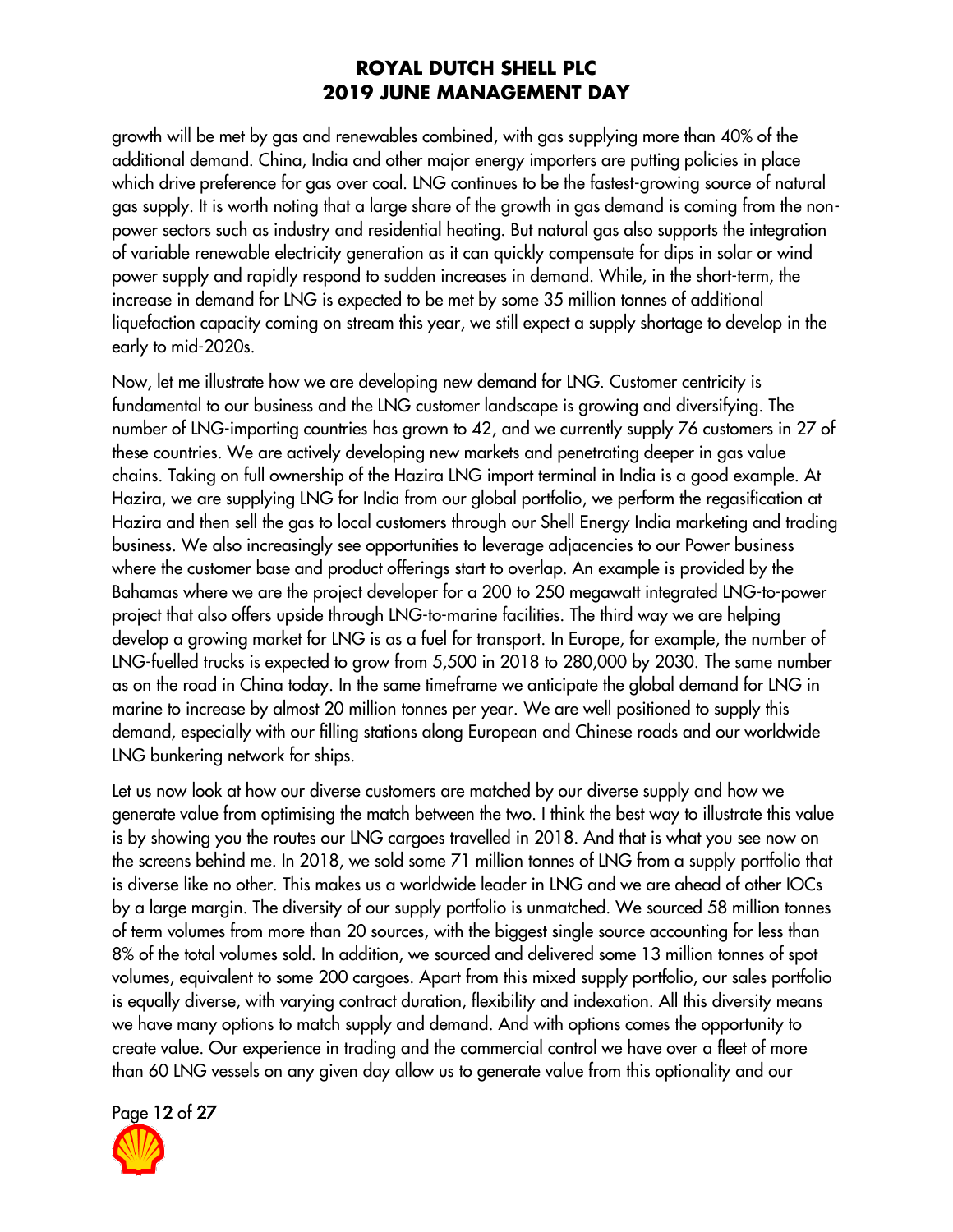growth will be met by gas and renewables combined, with gas supplying more than 40% of the additional demand. China, India and other major energy importers are putting policies in place which drive preference for gas over coal. LNG continues to be the fastest-growing source of natural gas supply. It is worth noting that a large share of the growth in gas demand is coming from the nonpower sectors such as industry and residential heating. But natural gas also supports the integration of variable renewable electricity generation as it can quickly compensate for dips in solar or wind power supply and rapidly respond to sudden increases in demand. While, in the short-term, the increase in demand for LNG is expected to be met by some 35 million tonnes of additional liquefaction capacity coming on stream this year, we still expect a supply shortage to develop in the early to mid-2020s.

Now, let me illustrate how we are developing new demand for LNG. Customer centricity is fundamental to our business and the LNG customer landscape is growing and diversifying. The number of LNG-importing countries has grown to 42, and we currently supply 76 customers in 27 of these countries. We are actively developing new markets and penetrating deeper in gas value chains. Taking on full ownership of the Hazira LNG import terminal in India is a good example. At Hazira, we are supplying LNG for India from our global portfolio, we perform the regasification at Hazira and then sell the gas to local customers through our Shell Energy India marketing and trading business. We also increasingly see opportunities to leverage adjacencies to our Power business where the customer base and product offerings start to overlap. An example is provided by the Bahamas where we are the project developer for a 200 to 250 megawatt integrated LNG-to-power project that also offers upside through LNG-to-marine facilities. The third way we are helping develop a growing market for LNG is as a fuel for transport. In Europe, for example, the number of LNG-fuelled trucks is expected to grow from 5,500 in 2018 to 280,000 by 2030. The same number as on the road in China today. In the same timeframe we anticipate the global demand for LNG in marine to increase by almost 20 million tonnes per year. We are well positioned to supply this demand, especially with our filling stations along European and Chinese roads and our worldwide LNG bunkering network for ships.

Let us now look at how our diverse customers are matched by our diverse supply and how we generate value from optimising the match between the two. I think the best way to illustrate this value is by showing you the routes our LNG cargoes travelled in 2018. And that is what you see now on the screens behind me. In 2018, we sold some 71 million tonnes of LNG from a supply portfolio that is diverse like no other. This makes us a worldwide leader in LNG and we are ahead of other IOCs by a large margin. The diversity of our supply portfolio is unmatched. We sourced 58 million tonnes of term volumes from more than 20 sources, with the biggest single source accounting for less than 8% of the total volumes sold. In addition, we sourced and delivered some 13 million tonnes of spot volumes, equivalent to some 200 cargoes. Apart from this mixed supply portfolio, our sales portfolio is equally diverse, with varying contract duration, flexibility and indexation. All this diversity means we have many options to match supply and demand. And with options comes the opportunity to create value. Our experience in trading and the commercial control we have over a fleet of more than 60 LNG vessels on any given day allow us to generate value from this optionality and our

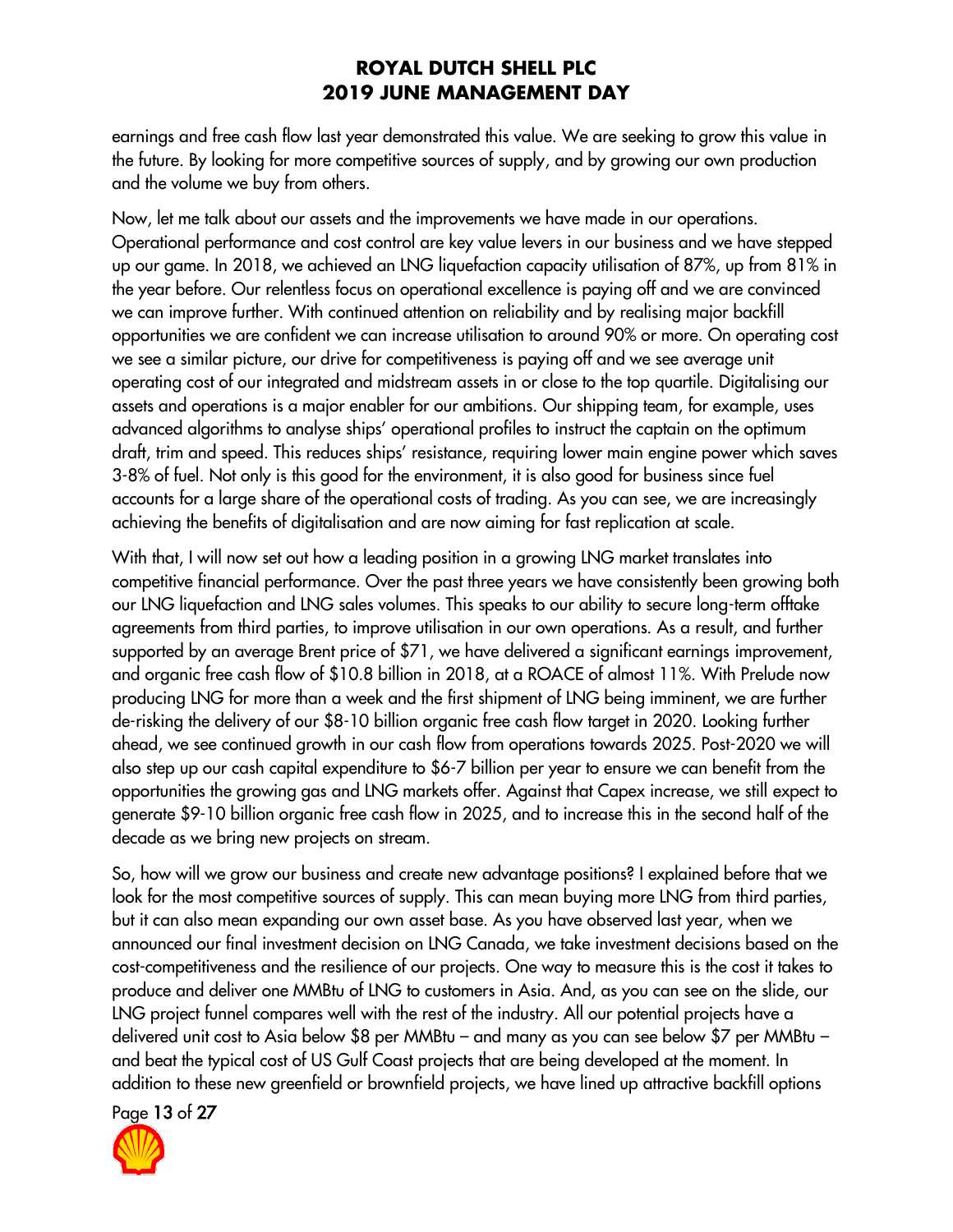earnings and free cash flow last year demonstrated this value. We are seeking to grow this value in the future. By looking for more competitive sources of supply, and by growing our own production and the volume we buy from others.

Now, let me talk about our assets and the improvements we have made in our operations. Operational performance and cost control are key value levers in our business and we have stepped up our game. In 2018, we achieved an LNG liquefaction capacity utilisation of 87%, up from 81% in the year before. Our relentless focus on operational excellence is paying off and we are convinced we can improve further. With continued attention on reliability and by realising major backfill opportunities we are confident we can increase utilisation to around 90% or more. On operating cost we see a similar picture, our drive for competitiveness is paying off and we see average unit operating cost of our integrated and midstream assets in or close to the top quartile. Digitalising our assets and operations is a major enabler for our ambitions. Our shipping team, for example, uses advanced algorithms to analyse ships' operational profiles to instruct the captain on the optimum draft, trim and speed. This reduces ships' resistance, requiring lower main engine power which saves 3-8% of fuel. Not only is this good for the environment, it is also good for business since fuel accounts for a large share of the operational costs of trading. As you can see, we are increasingly achieving the benefits of digitalisation and are now aiming for fast replication at scale.

With that, I will now set out how a leading position in a growing LNG market translates into competitive financial performance. Over the past three years we have consistently been growing both our LNG liquefaction and LNG sales volumes. This speaks to our ability to secure long-term offtake agreements from third parties, to improve utilisation in our own operations. As a result, and further supported by an average Brent price of \$71, we have delivered a significant earnings improvement, and organic free cash flow of \$10.8 billion in 2018, at a ROACE of almost 11%. With Prelude now producing LNG for more than a week and the first shipment of LNG being imminent, we are further de-risking the delivery of our \$8-10 billion organic free cash flow target in 2020. Looking further ahead, we see continued growth in our cash flow from operations towards 2025. Post-2020 we will also step up our cash capital expenditure to \$6-7 billion per year to ensure we can benefit from the opportunities the growing gas and LNG markets offer. Against that Capex increase, we still expect to generate \$9-10 billion organic free cash flow in 2025, and to increase this in the second half of the decade as we bring new projects on stream.

So, how will we grow our business and create new advantage positions? I explained before that we look for the most competitive sources of supply. This can mean buying more LNG from third parties, but it can also mean expanding our own asset base. As you have observed last year, when we announced our final investment decision on LNG Canada, we take investment decisions based on the cost-competitiveness and the resilience of our projects. One way to measure this is the cost it takes to produce and deliver one MMBtu of LNG to customers in Asia. And, as you can see on the slide, our LNG project funnel compares well with the rest of the industry. All our potential projects have a delivered unit cost to Asia below \$8 per MMBtu – and many as you can see below \$7 per MMBtu – and beat the typical cost of US Gulf Coast projects that are being developed at the moment. In addition to these new greenfield or brownfield projects, we have lined up attractive backfill options

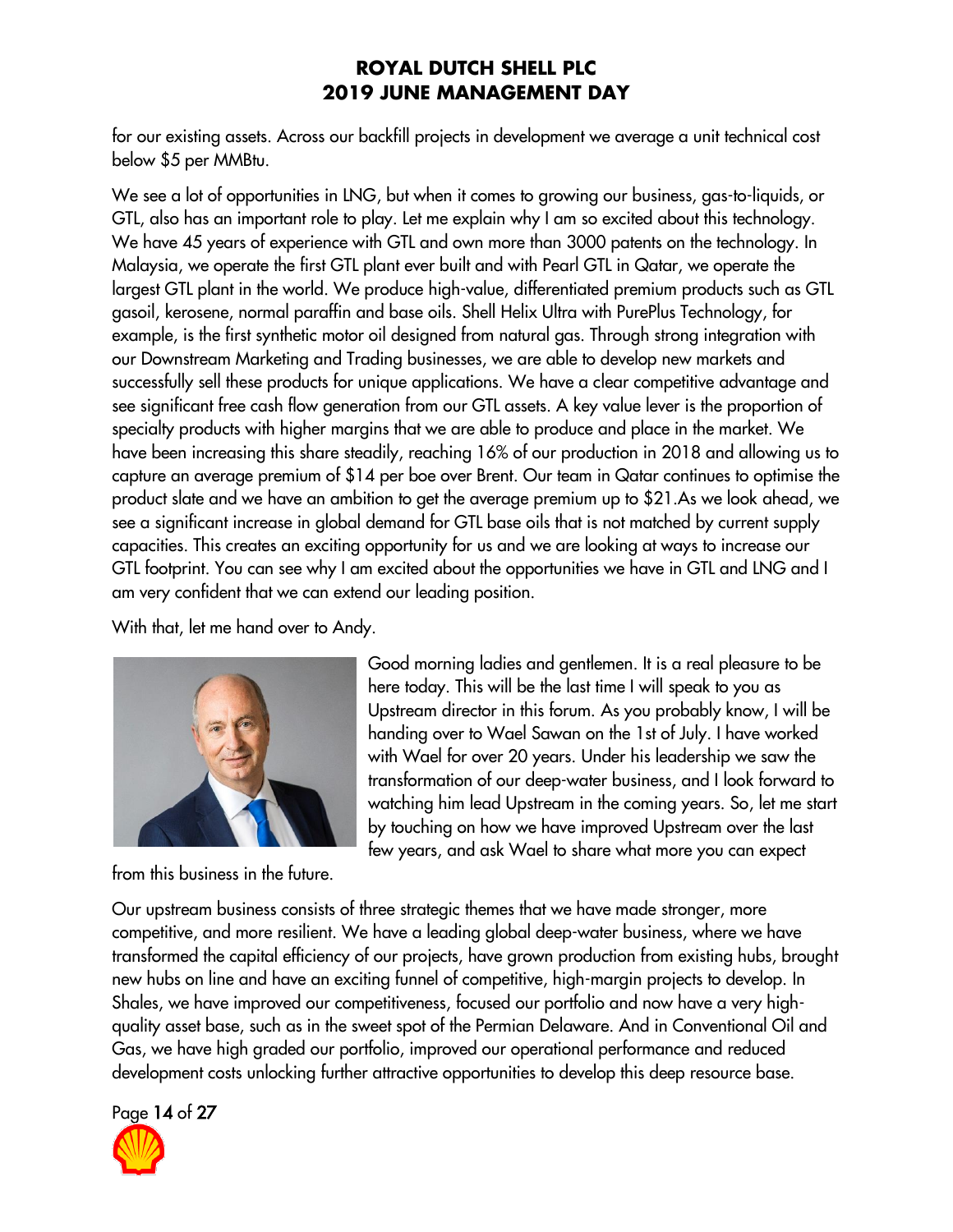for our existing assets. Across our backfill projects in development we average a unit technical cost below \$5 per MMBtu.

We see a lot of opportunities in LNG, but when it comes to growing our business, gas-to-liquids, or GTL, also has an important role to play. Let me explain why I am so excited about this technology. We have 45 years of experience with GTL and own more than 3000 patents on the technology. In Malaysia, we operate the first GTL plant ever built and with Pearl GTL in Qatar, we operate the largest GTL plant in the world. We produce high-value, differentiated premium products such as GTL gasoil, kerosene, normal paraffin and base oils. Shell Helix Ultra with PurePlus Technology, for example, is the first synthetic motor oil designed from natural gas. Through strong integration with our Downstream Marketing and Trading businesses, we are able to develop new markets and successfully sell these products for unique applications. We have a clear competitive advantage and see significant free cash flow generation from our GTL assets. A key value lever is the proportion of specialty products with higher margins that we are able to produce and place in the market. We have been increasing this share steadily, reaching 16% of our production in 2018 and allowing us to capture an average premium of \$14 per boe over Brent. Our team in Qatar continues to optimise the product slate and we have an ambition to get the average premium up to \$21.As we look ahead, we see a significant increase in global demand for GTL base oils that is not matched by current supply capacities. This creates an exciting opportunity for us and we are looking at ways to increase our GTL footprint. You can see why I am excited about the opportunities we have in GTL and LNG and I am very confident that we can extend our leading position.

With that, let me hand over to Andy.



from this business in the future.

Good morning ladies and gentlemen. It is a real pleasure to be here today. This will be the last time I will speak to you as Upstream director in this forum. As you probably know, I will be handing over to Wael Sawan on the 1st of July. I have worked with Wael for over 20 years. Under his leadership we saw the transformation of our deep-water business, and I look forward to watching him lead Upstream in the coming years. So, let me start by touching on how we have improved Upstream over the last few years, and ask Wael to share what more you can expect

Our upstream business consists of three strategic themes that we have made stronger, more competitive, and more resilient. We have a leading global deep-water business, where we have transformed the capital efficiency of our projects, have grown production from existing hubs, brought new hubs on line and have an exciting funnel of competitive, high-margin projects to develop. In Shales, we have improved our competitiveness, focused our portfolio and now have a very highquality asset base, such as in the sweet spot of the Permian Delaware. And in Conventional Oil and Gas, we have high graded our portfolio, improved our operational performance and reduced development costs unlocking further attractive opportunities to develop this deep resource base.

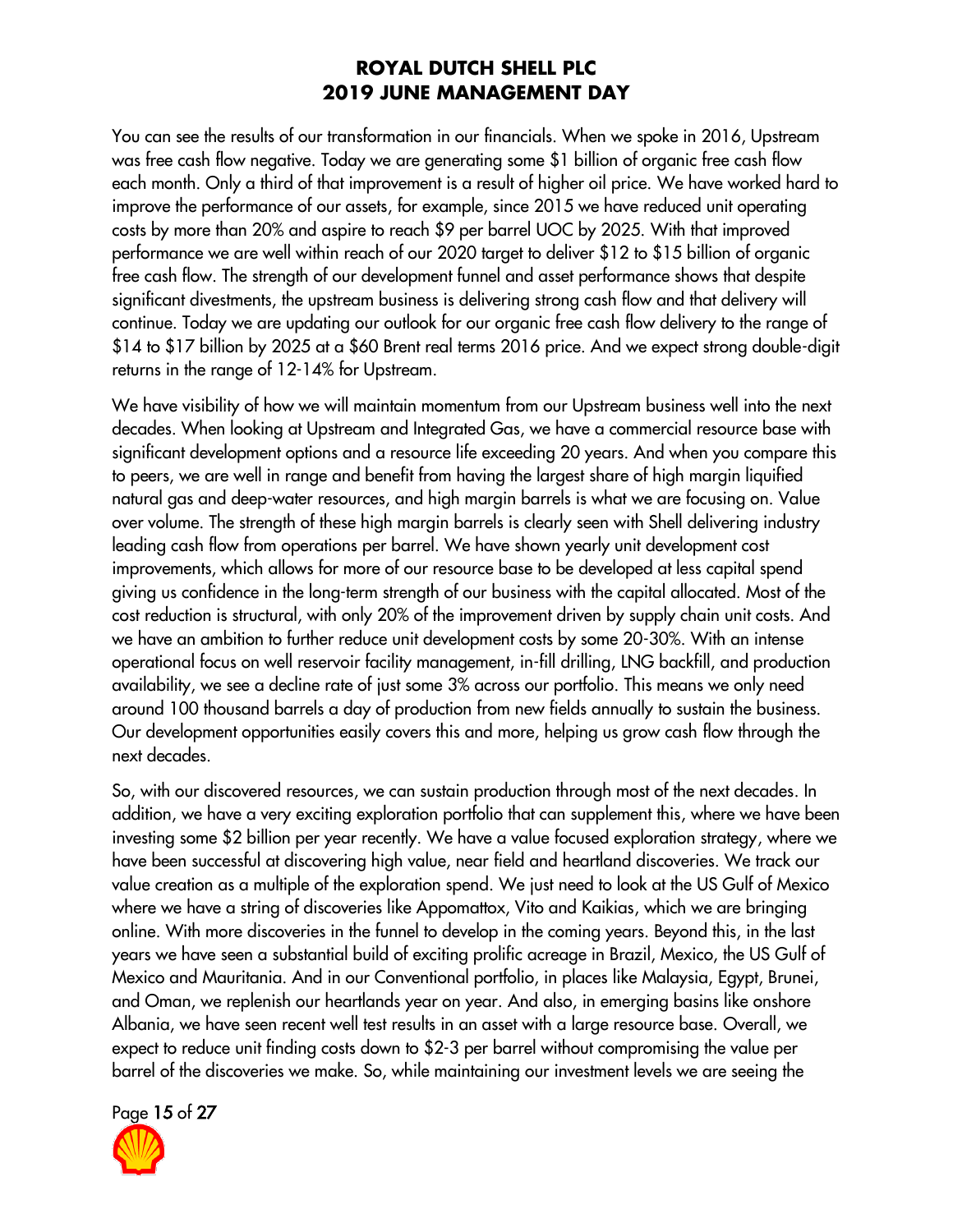You can see the results of our transformation in our financials. When we spoke in 2016, Upstream was free cash flow negative. Today we are generating some \$1 billion of organic free cash flow each month. Only a third of that improvement is a result of higher oil price. We have worked hard to improve the performance of our assets, for example, since 2015 we have reduced unit operating costs by more than 20% and aspire to reach \$9 per barrel UOC by 2025. With that improved performance we are well within reach of our 2020 target to deliver \$12 to \$15 billion of organic free cash flow. The strength of our development funnel and asset performance shows that despite significant divestments, the upstream business is delivering strong cash flow and that delivery will continue. Today we are updating our outlook for our organic free cash flow delivery to the range of \$14 to \$17 billion by 2025 at a \$60 Brent real terms 2016 price. And we expect strong double-digit returns in the range of 12-14% for Upstream.

We have visibility of how we will maintain momentum from our Upstream business well into the next decades. When looking at Upstream and Integrated Gas, we have a commercial resource base with significant development options and a resource life exceeding 20 years. And when you compare this to peers, we are well in range and benefit from having the largest share of high margin liquified natural gas and deep-water resources, and high margin barrels is what we are focusing on. Value over volume. The strength of these high margin barrels is clearly seen with Shell delivering industry leading cash flow from operations per barrel. We have shown yearly unit development cost improvements, which allows for more of our resource base to be developed at less capital spend giving us confidence in the long-term strength of our business with the capital allocated. Most of the cost reduction is structural, with only 20% of the improvement driven by supply chain unit costs. And we have an ambition to further reduce unit development costs by some 20-30%. With an intense operational focus on well reservoir facility management, in-fill drilling, LNG backfill, and production availability, we see a decline rate of just some 3% across our portfolio. This means we only need around 100 thousand barrels a day of production from new fields annually to sustain the business. Our development opportunities easily covers this and more, helping us grow cash flow through the next decades.

So, with our discovered resources, we can sustain production through most of the next decades. In addition, we have a very exciting exploration portfolio that can supplement this, where we have been investing some \$2 billion per year recently. We have a value focused exploration strategy, where we have been successful at discovering high value, near field and heartland discoveries. We track our value creation as a multiple of the exploration spend. We just need to look at the US Gulf of Mexico where we have a string of discoveries like Appomattox, Vito and Kaikias, which we are bringing online. With more discoveries in the funnel to develop in the coming years. Beyond this, in the last years we have seen a substantial build of exciting prolific acreage in Brazil, Mexico, the US Gulf of Mexico and Mauritania. And in our Conventional portfolio, in places like Malaysia, Egypt, Brunei, and Oman, we replenish our heartlands year on year. And also, in emerging basins like onshore Albania, we have seen recent well test results in an asset with a large resource base. Overall, we expect to reduce unit finding costs down to \$2-3 per barrel without compromising the value per barrel of the discoveries we make. So, while maintaining our investment levels we are seeing the

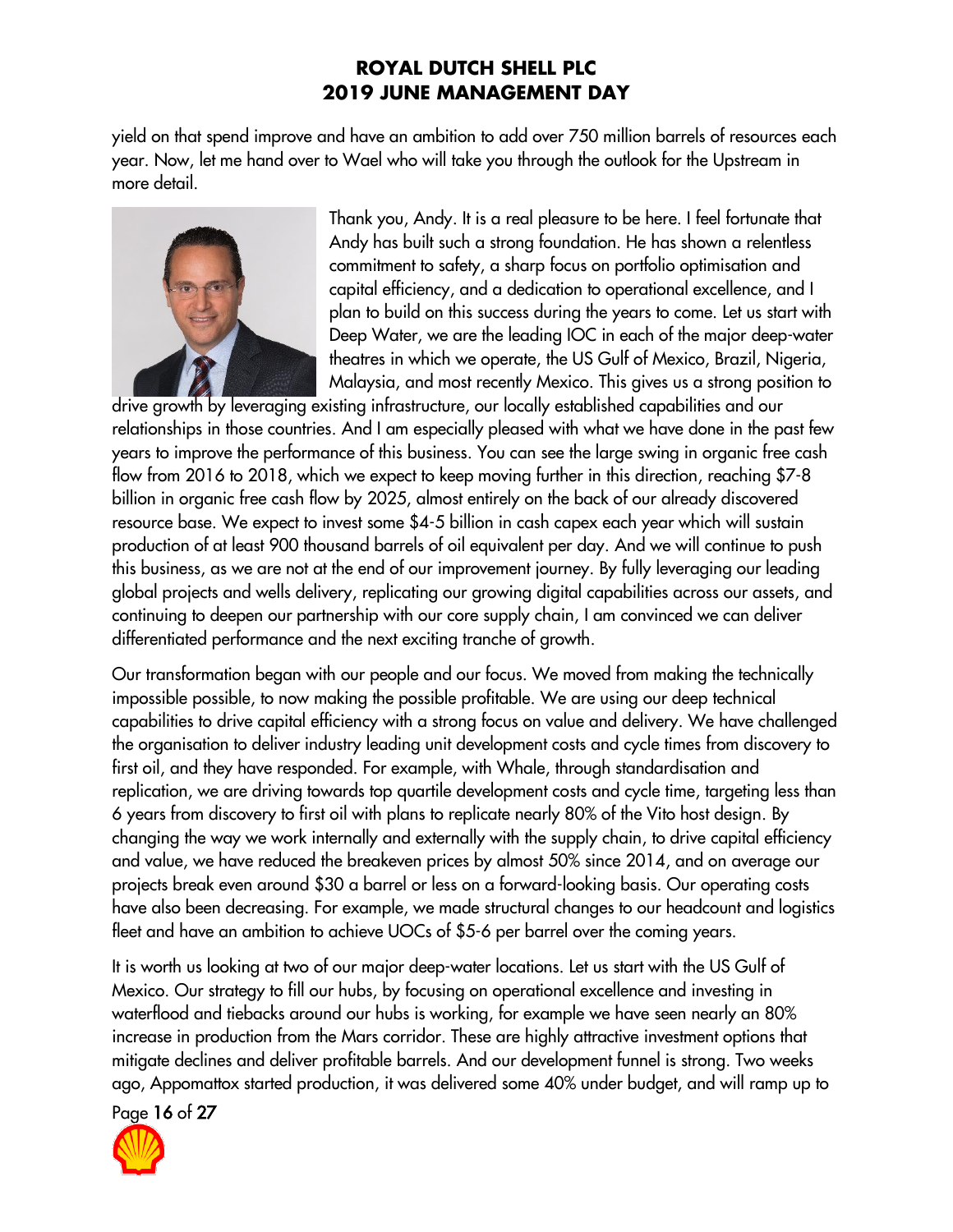yield on that spend improve and have an ambition to add over 750 million barrels of resources each year. Now, let me hand over to Wael who will take you through the outlook for the Upstream in more detail.



Thank you, Andy. It is a real pleasure to be here. I feel fortunate that Andy has built such a strong foundation. He has shown a relentless commitment to safety, a sharp focus on portfolio optimisation and capital efficiency, and a dedication to operational excellence, and I plan to build on this success during the years to come. Let us start with Deep Water, we are the leading IOC in each of the major deep-water theatres in which we operate, the US Gulf of Mexico, Brazil, Nigeria, Malaysia, and most recently Mexico. This gives us a strong position to

drive growth by leveraging existing infrastructure, our locally established capabilities and our relationships in those countries. And I am especially pleased with what we have done in the past few years to improve the performance of this business. You can see the large swing in organic free cash flow from 2016 to 2018, which we expect to keep moving further in this direction, reaching \$7-8 billion in organic free cash flow by 2025, almost entirely on the back of our already discovered resource base. We expect to invest some \$4-5 billion in cash capex each year which will sustain production of at least 900 thousand barrels of oil equivalent per day. And we will continue to push this business, as we are not at the end of our improvement journey. By fully leveraging our leading global projects and wells delivery, replicating our growing digital capabilities across our assets, and continuing to deepen our partnership with our core supply chain, I am convinced we can deliver differentiated performance and the next exciting tranche of growth.

Our transformation began with our people and our focus. We moved from making the technically impossible possible, to now making the possible profitable. We are using our deep technical capabilities to drive capital efficiency with a strong focus on value and delivery. We have challenged the organisation to deliver industry leading unit development costs and cycle times from discovery to first oil, and they have responded. For example, with Whale, through standardisation and replication, we are driving towards top quartile development costs and cycle time, targeting less than 6 years from discovery to first oil with plans to replicate nearly 80% of the Vito host design. By changing the way we work internally and externally with the supply chain, to drive capital efficiency and value, we have reduced the breakeven prices by almost 50% since 2014, and on average our projects break even around \$30 a barrel or less on a forward-looking basis. Our operating costs have also been decreasing. For example, we made structural changes to our headcount and logistics fleet and have an ambition to achieve UOCs of \$5-6 per barrel over the coming years.

It is worth us looking at two of our major deep-water locations. Let us start with the US Gulf of Mexico. Our strategy to fill our hubs, by focusing on operational excellence and investing in waterflood and tiebacks around our hubs is working, for example we have seen nearly an 80% increase in production from the Mars corridor. These are highly attractive investment options that mitigate declines and deliver profitable barrels. And our development funnel is strong. Two weeks ago, Appomattox started production, it was delivered some 40% under budget, and will ramp up to

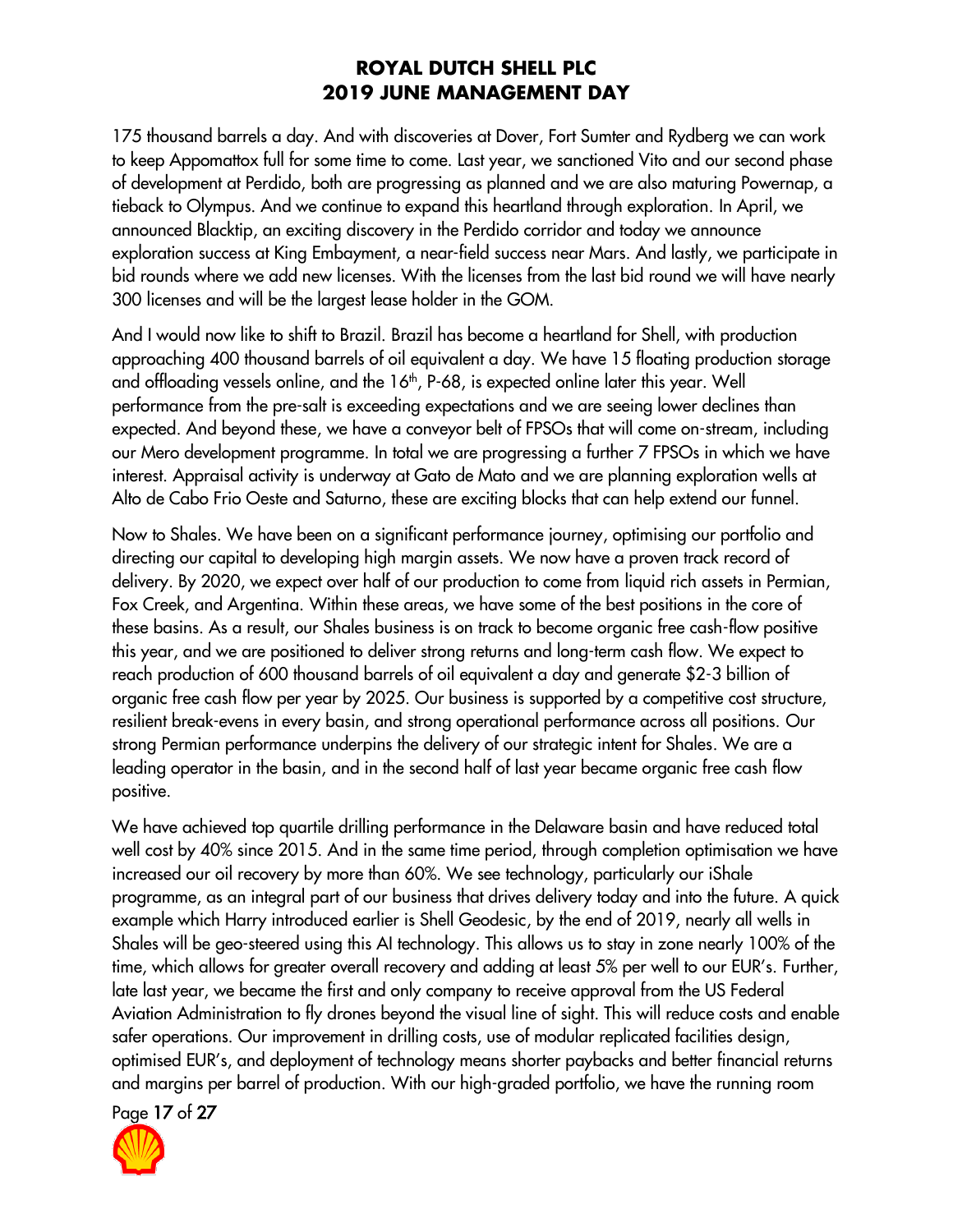175 thousand barrels a day. And with discoveries at Dover, Fort Sumter and Rydberg we can work to keep Appomattox full for some time to come. Last year, we sanctioned Vito and our second phase of development at Perdido, both are progressing as planned and we are also maturing Powernap, a tieback to Olympus. And we continue to expand this heartland through exploration. In April, we announced Blacktip, an exciting discovery in the Perdido corridor and today we announce exploration success at King Embayment, a near-field success near Mars. And lastly, we participate in bid rounds where we add new licenses. With the licenses from the last bid round we will have nearly 300 licenses and will be the largest lease holder in the GOM.

And I would now like to shift to Brazil. Brazil has become a heartland for Shell, with production approaching 400 thousand barrels of oil equivalent a day. We have 15 floating production storage and offloading vessels online, and the 16<sup>th</sup>, P-68, is expected online later this year. Well performance from the pre-salt is exceeding expectations and we are seeing lower declines than expected. And beyond these, we have a conveyor belt of FPSOs that will come on-stream, including our Mero development programme. In total we are progressing a further 7 FPSOs in which we have interest. Appraisal activity is underway at Gato de Mato and we are planning exploration wells at Alto de Cabo Frio Oeste and Saturno, these are exciting blocks that can help extend our funnel.

Now to Shales. We have been on a significant performance journey, optimising our portfolio and directing our capital to developing high margin assets. We now have a proven track record of delivery. By 2020, we expect over half of our production to come from liquid rich assets in Permian, Fox Creek, and Argentina. Within these areas, we have some of the best positions in the core of these basins. As a result, our Shales business is on track to become organic free cash-flow positive this year, and we are positioned to deliver strong returns and long-term cash flow. We expect to reach production of 600 thousand barrels of oil equivalent a day and generate \$2-3 billion of organic free cash flow per year by 2025. Our business is supported by a competitive cost structure, resilient break-evens in every basin, and strong operational performance across all positions. Our strong Permian performance underpins the delivery of our strategic intent for Shales. We are a leading operator in the basin, and in the second half of last year became organic free cash flow positive.

We have achieved top quartile drilling performance in the Delaware basin and have reduced total well cost by 40% since 2015. And in the same time period, through completion optimisation we have increased our oil recovery by more than 60%. We see technology, particularly our iShale programme, as an integral part of our business that drives delivery today and into the future. A quick example which Harry introduced earlier is Shell Geodesic, by the end of 2019, nearly all wells in Shales will be geo-steered using this AI technology. This allows us to stay in zone nearly 100% of the time, which allows for greater overall recovery and adding at least 5% per well to our EUR's. Further, late last year, we became the first and only company to receive approval from the US Federal Aviation Administration to fly drones beyond the visual line of sight. This will reduce costs and enable safer operations. Our improvement in drilling costs, use of modular replicated facilities design, optimised EUR's, and deployment of technology means shorter paybacks and better financial returns and margins per barrel of production. With our high-graded portfolio, we have the running room

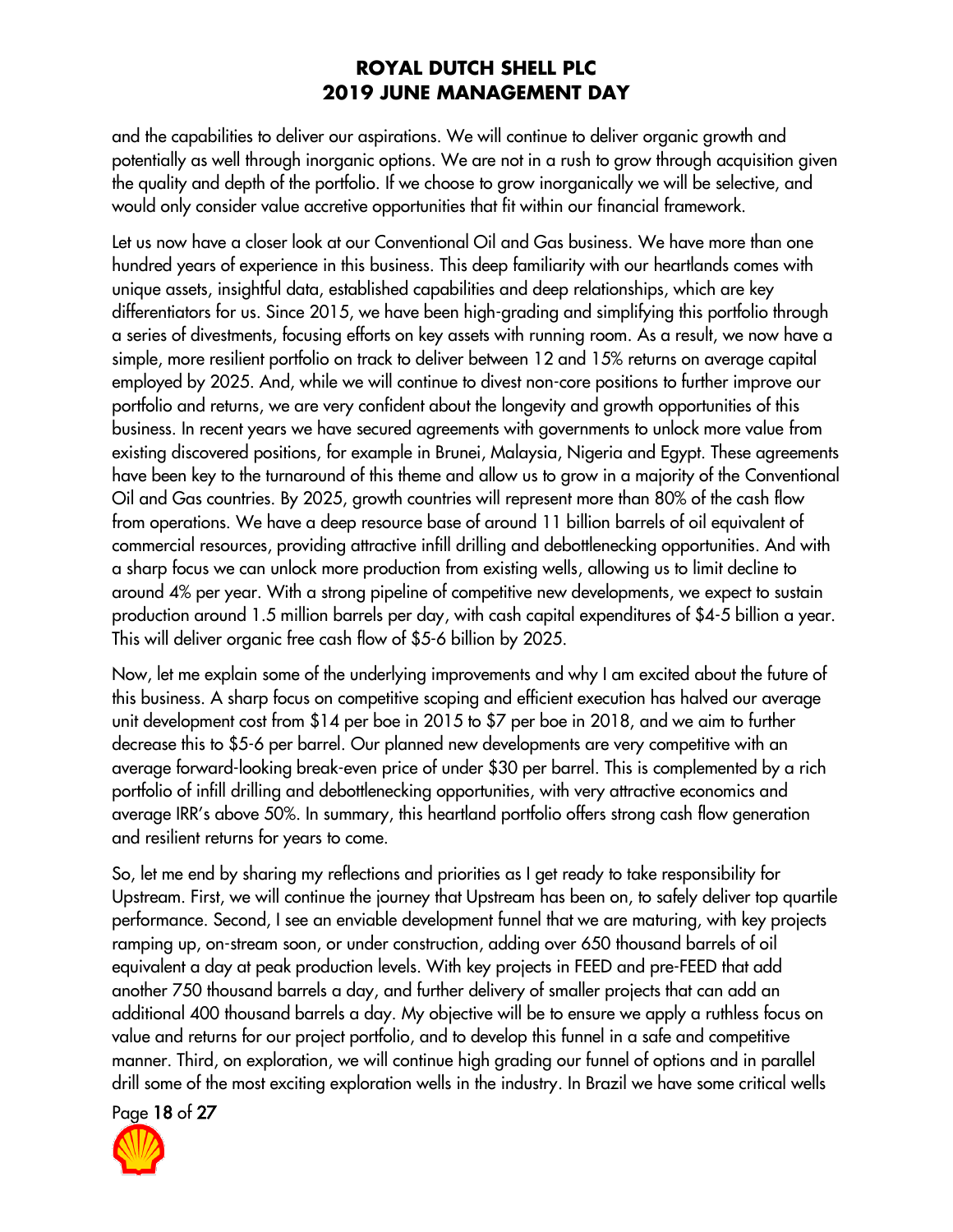and the capabilities to deliver our aspirations. We will continue to deliver organic growth and potentially as well through inorganic options. We are not in a rush to grow through acquisition given the quality and depth of the portfolio. If we choose to grow inorganically we will be selective, and would only consider value accretive opportunities that fit within our financial framework.

Let us now have a closer look at our Conventional Oil and Gas business. We have more than one hundred years of experience in this business. This deep familiarity with our heartlands comes with unique assets, insightful data, established capabilities and deep relationships, which are key differentiators for us. Since 2015, we have been high-grading and simplifying this portfolio through a series of divestments, focusing efforts on key assets with running room. As a result, we now have a simple, more resilient portfolio on track to deliver between 12 and 15% returns on average capital employed by 2025. And, while we will continue to divest non-core positions to further improve our portfolio and returns, we are very confident about the longevity and growth opportunities of this business. In recent years we have secured agreements with governments to unlock more value from existing discovered positions, for example in Brunei, Malaysia, Nigeria and Egypt. These agreements have been key to the turnaround of this theme and allow us to grow in a majority of the Conventional Oil and Gas countries. By 2025, growth countries will represent more than 80% of the cash flow from operations. We have a deep resource base of around 11 billion barrels of oil equivalent of commercial resources, providing attractive infill drilling and debottlenecking opportunities. And with a sharp focus we can unlock more production from existing wells, allowing us to limit decline to around 4% per year. With a strong pipeline of competitive new developments, we expect to sustain production around 1.5 million barrels per day, with cash capital expenditures of \$4-5 billion a year. This will deliver organic free cash flow of \$5-6 billion by 2025.

Now, let me explain some of the underlying improvements and why I am excited about the future of this business. A sharp focus on competitive scoping and efficient execution has halved our average unit development cost from \$14 per boe in 2015 to \$7 per boe in 2018, and we aim to further decrease this to \$5-6 per barrel. Our planned new developments are very competitive with an average forward-looking break-even price of under \$30 per barrel. This is complemented by a rich portfolio of infill drilling and debottlenecking opportunities, with very attractive economics and average IRR's above 50%. In summary, this heartland portfolio offers strong cash flow generation and resilient returns for years to come.

So, let me end by sharing my reflections and priorities as I get ready to take responsibility for Upstream. First, we will continue the journey that Upstream has been on, to safely deliver top quartile performance. Second, I see an enviable development funnel that we are maturing, with key projects ramping up, on-stream soon, or under construction, adding over 650 thousand barrels of oil equivalent a day at peak production levels. With key projects in FEED and pre-FEED that add another 750 thousand barrels a day, and further delivery of smaller projects that can add an additional 400 thousand barrels a day. My objective will be to ensure we apply a ruthless focus on value and returns for our project portfolio, and to develop this funnel in a safe and competitive manner. Third, on exploration, we will continue high grading our funnel of options and in parallel drill some of the most exciting exploration wells in the industry. In Brazil we have some critical wells

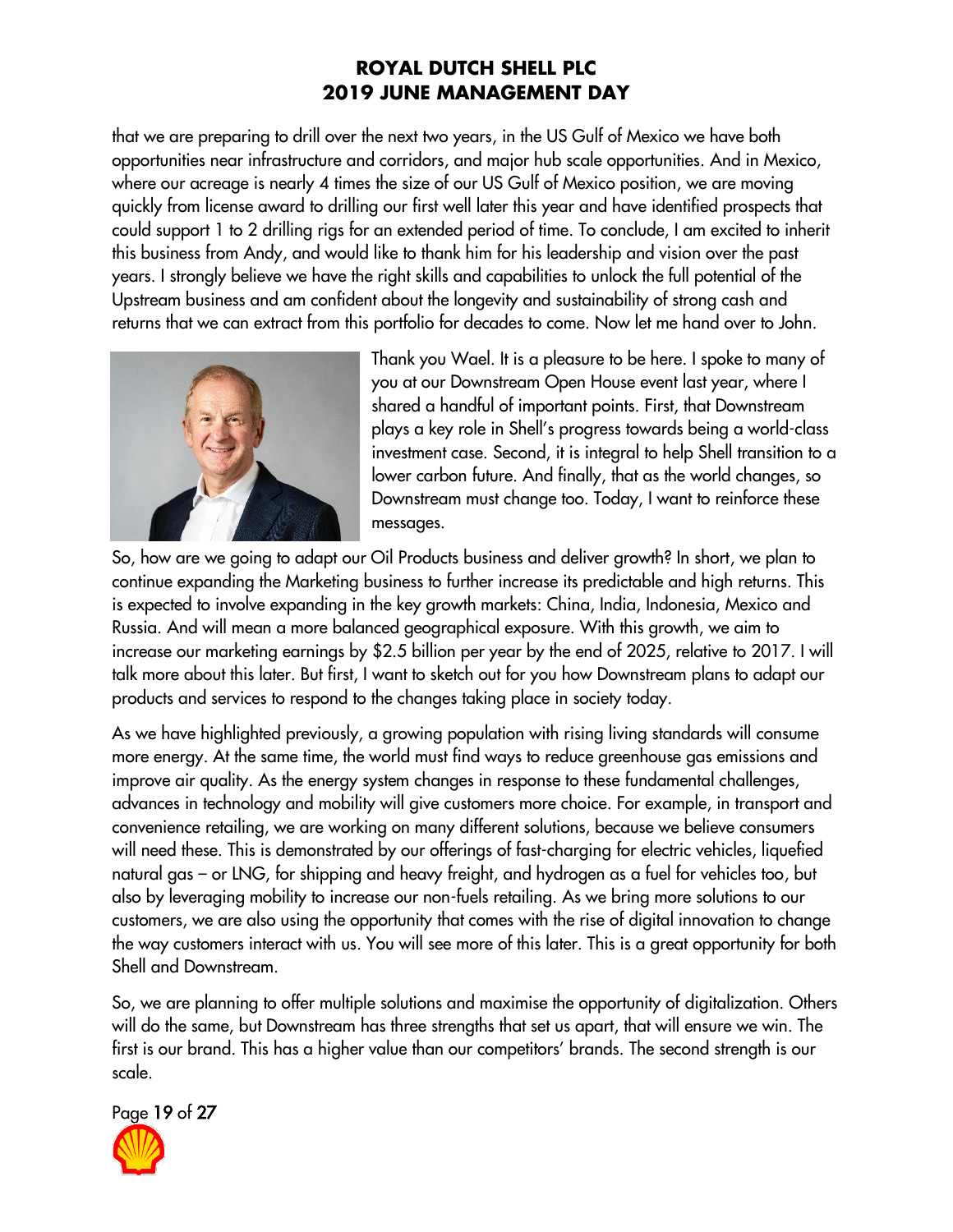that we are preparing to drill over the next two years, in the US Gulf of Mexico we have both opportunities near infrastructure and corridors, and major hub scale opportunities. And in Mexico, where our acreage is nearly 4 times the size of our US Gulf of Mexico position, we are moving quickly from license award to drilling our first well later this year and have identified prospects that could support 1 to 2 drilling rigs for an extended period of time. To conclude, I am excited to inherit this business from Andy, and would like to thank him for his leadership and vision over the past years. I strongly believe we have the right skills and capabilities to unlock the full potential of the Upstream business and am confident about the longevity and sustainability of strong cash and returns that we can extract from this portfolio for decades to come. Now let me hand over to John.



Thank you Wael. It is a pleasure to be here. I spoke to many of you at our Downstream Open House event last year, where I shared a handful of important points. First, that Downstream plays a key role in Shell's progress towards being a world-class investment case. Second, it is integral to help Shell transition to a lower carbon future. And finally, that as the world changes, so Downstream must change too. Today, I want to reinforce these messages.

So, how are we going to adapt our Oil Products business and deliver growth? In short, we plan to continue expanding the Marketing business to further increase its predictable and high returns. This is expected to involve expanding in the key growth markets: China, India, Indonesia, Mexico and Russia. And will mean a more balanced geographical exposure. With this growth, we aim to increase our marketing earnings by \$2.5 billion per year by the end of 2025, relative to 2017. I will talk more about this later. But first, I want to sketch out for you how Downstream plans to adapt our products and services to respond to the changes taking place in society today.

As we have highlighted previously, a growing population with rising living standards will consume more energy. At the same time, the world must find ways to reduce greenhouse gas emissions and improve air quality. As the energy system changes in response to these fundamental challenges, advances in technology and mobility will give customers more choice. For example, in transport and convenience retailing, we are working on many different solutions, because we believe consumers will need these. This is demonstrated by our offerings of fast-charging for electric vehicles, liquefied natural gas – or LNG, for shipping and heavy freight, and hydrogen as a fuel for vehicles too, but also by leveraging mobility to increase our non-fuels retailing. As we bring more solutions to our customers, we are also using the opportunity that comes with the rise of digital innovation to change the way customers interact with us. You will see more of this later. This is a great opportunity for both Shell and Downstream.

So, we are planning to offer multiple solutions and maximise the opportunity of digitalization. Others will do the same, but Downstream has three strengths that set us apart, that will ensure we win. The first is our brand. This has a higher value than our competitors' brands. The second strength is our scale.

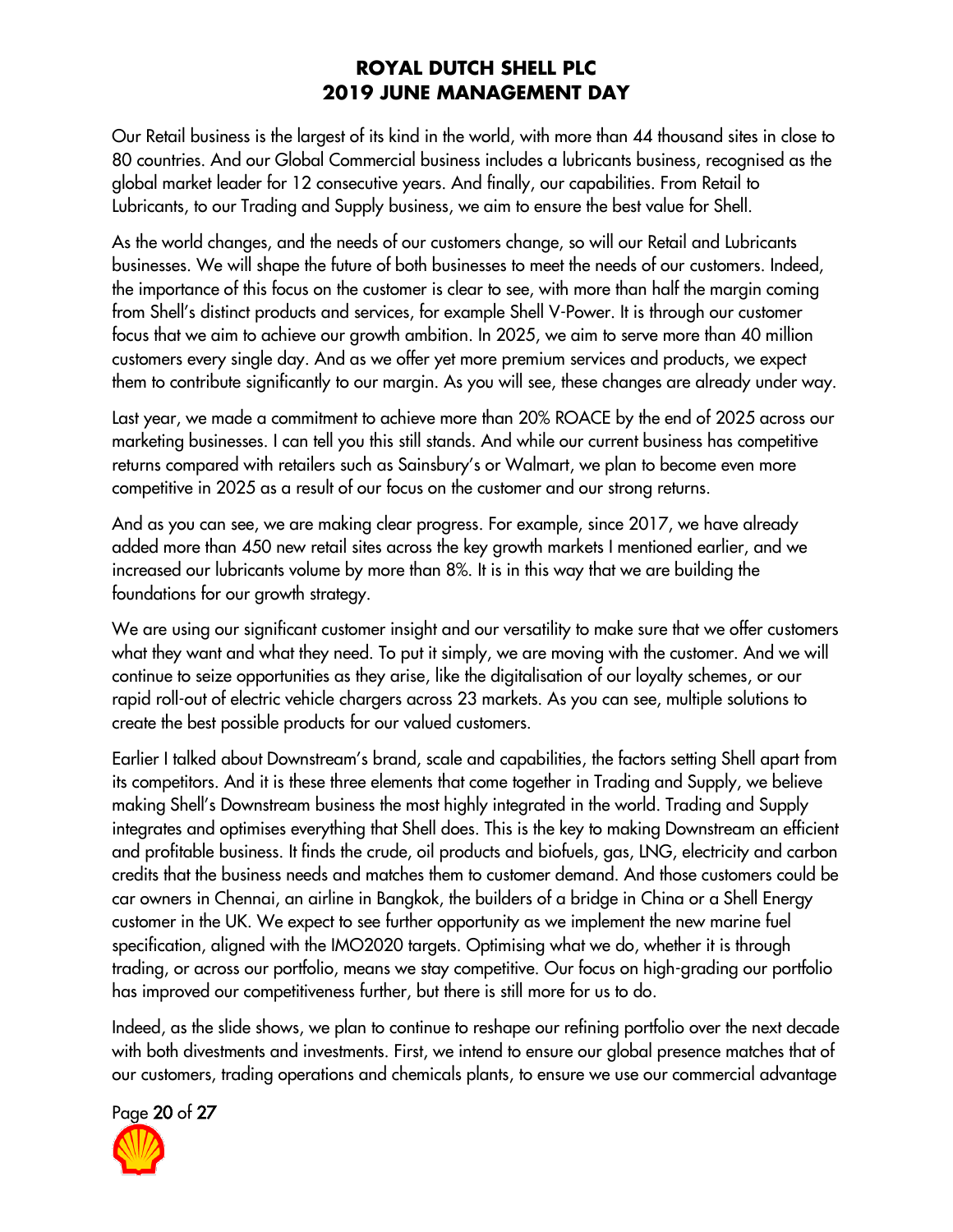Our Retail business is the largest of its kind in the world, with more than 44 thousand sites in close to 80 countries. And our Global Commercial business includes a lubricants business, recognised as the global market leader for 12 consecutive years. And finally, our capabilities. From Retail to Lubricants, to our Trading and Supply business, we aim to ensure the best value for Shell.

As the world changes, and the needs of our customers change, so will our Retail and Lubricants businesses. We will shape the future of both businesses to meet the needs of our customers. Indeed, the importance of this focus on the customer is clear to see, with more than half the margin coming from Shell's distinct products and services, for example Shell V-Power. It is through our customer focus that we aim to achieve our growth ambition. In 2025, we aim to serve more than 40 million customers every single day. And as we offer yet more premium services and products, we expect them to contribute significantly to our margin. As you will see, these changes are already under way.

Last year, we made a commitment to achieve more than 20% ROACE by the end of 2025 across our marketing businesses. I can tell you this still stands. And while our current business has competitive returns compared with retailers such as Sainsbury's or Walmart, we plan to become even more competitive in 2025 as a result of our focus on the customer and our strong returns.

And as you can see, we are making clear progress. For example, since 2017, we have already added more than 450 new retail sites across the key growth markets I mentioned earlier, and we increased our lubricants volume by more than 8%. It is in this way that we are building the foundations for our growth strategy.

We are using our significant customer insight and our versatility to make sure that we offer customers what they want and what they need. To put it simply, we are moving with the customer. And we will continue to seize opportunities as they arise, like the digitalisation of our loyalty schemes, or our rapid roll-out of electric vehicle chargers across 23 markets. As you can see, multiple solutions to create the best possible products for our valued customers.

Earlier I talked about Downstream's brand, scale and capabilities, the factors setting Shell apart from its competitors. And it is these three elements that come together in Trading and Supply, we believe making Shell's Downstream business the most highly integrated in the world. Trading and Supply integrates and optimises everything that Shell does. This is the key to making Downstream an efficient and profitable business. It finds the crude, oil products and biofuels, gas, LNG, electricity and carbon credits that the business needs and matches them to customer demand. And those customers could be car owners in Chennai, an airline in Bangkok, the builders of a bridge in China or a Shell Energy customer in the UK. We expect to see further opportunity as we implement the new marine fuel specification, aligned with the IMO2020 targets. Optimising what we do, whether it is through trading, or across our portfolio, means we stay competitive. Our focus on high-grading our portfolio has improved our competitiveness further, but there is still more for us to do.

Indeed, as the slide shows, we plan to continue to reshape our refining portfolio over the next decade with both divestments and investments. First, we intend to ensure our global presence matches that of our customers, trading operations and chemicals plants, to ensure we use our commercial advantage

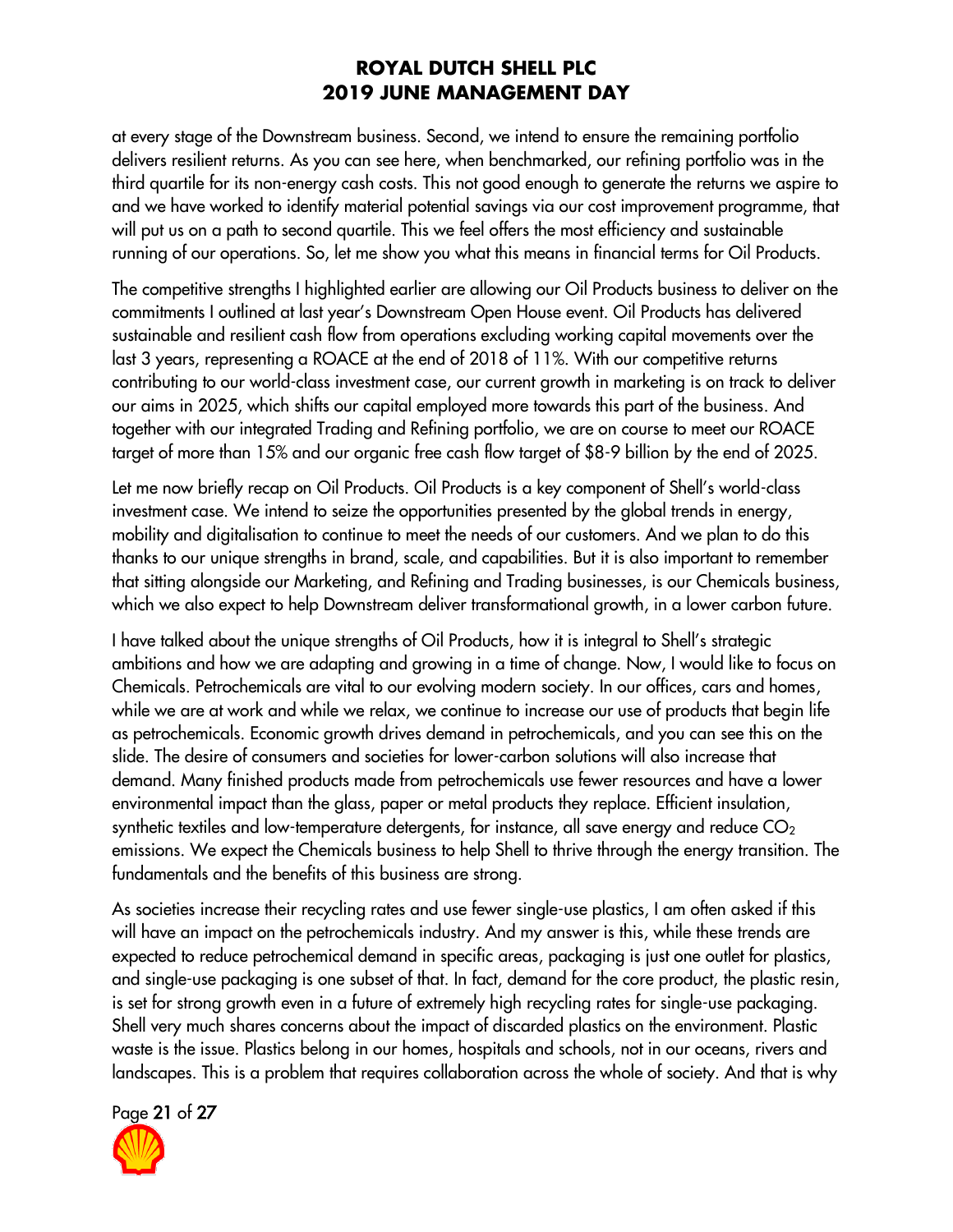at every stage of the Downstream business. Second, we intend to ensure the remaining portfolio delivers resilient returns. As you can see here, when benchmarked, our refining portfolio was in the third quartile for its non-energy cash costs. This not good enough to generate the returns we aspire to and we have worked to identify material potential savings via our cost improvement programme, that will put us on a path to second quartile. This we feel offers the most efficiency and sustainable running of our operations. So, let me show you what this means in financial terms for Oil Products.

The competitive strengths I highlighted earlier are allowing our Oil Products business to deliver on the commitments I outlined at last year's Downstream Open House event. Oil Products has delivered sustainable and resilient cash flow from operations excluding working capital movements over the last 3 years, representing a ROACE at the end of 2018 of 11%. With our competitive returns contributing to our world-class investment case, our current growth in marketing is on track to deliver our aims in 2025, which shifts our capital employed more towards this part of the business. And together with our integrated Trading and Refining portfolio, we are on course to meet our ROACE target of more than 15% and our organic free cash flow target of \$8-9 billion by the end of 2025.

Let me now briefly recap on Oil Products. Oil Products is a key component of Shell's world-class investment case. We intend to seize the opportunities presented by the global trends in energy, mobility and digitalisation to continue to meet the needs of our customers. And we plan to do this thanks to our unique strengths in brand, scale, and capabilities. But it is also important to remember that sitting alongside our Marketing, and Refining and Trading businesses, is our Chemicals business, which we also expect to help Downstream deliver transformational growth, in a lower carbon future.

I have talked about the unique strengths of Oil Products, how it is integral to Shell's strategic ambitions and how we are adapting and growing in a time of change. Now, I would like to focus on Chemicals. Petrochemicals are vital to our evolving modern society. In our offices, cars and homes, while we are at work and while we relax, we continue to increase our use of products that begin life as petrochemicals. Economic growth drives demand in petrochemicals, and you can see this on the slide. The desire of consumers and societies for lower-carbon solutions will also increase that demand. Many finished products made from petrochemicals use fewer resources and have a lower environmental impact than the glass, paper or metal products they replace. Efficient insulation, synthetic textiles and low-temperature detergents, for instance, all save energy and reduce  $CO<sub>2</sub>$ emissions. We expect the Chemicals business to help Shell to thrive through the energy transition. The fundamentals and the benefits of this business are strong.

As societies increase their recycling rates and use fewer single-use plastics, I am often asked if this will have an impact on the petrochemicals industry. And my answer is this, while these trends are expected to reduce petrochemical demand in specific areas, packaging is just one outlet for plastics, and single-use packaging is one subset of that. In fact, demand for the core product, the plastic resin, is set for strong growth even in a future of extremely high recycling rates for single-use packaging. Shell very much shares concerns about the impact of discarded plastics on the environment. Plastic waste is the issue. Plastics belong in our homes, hospitals and schools, not in our oceans, rivers and landscapes. This is a problem that requires collaboration across the whole of society. And that is why

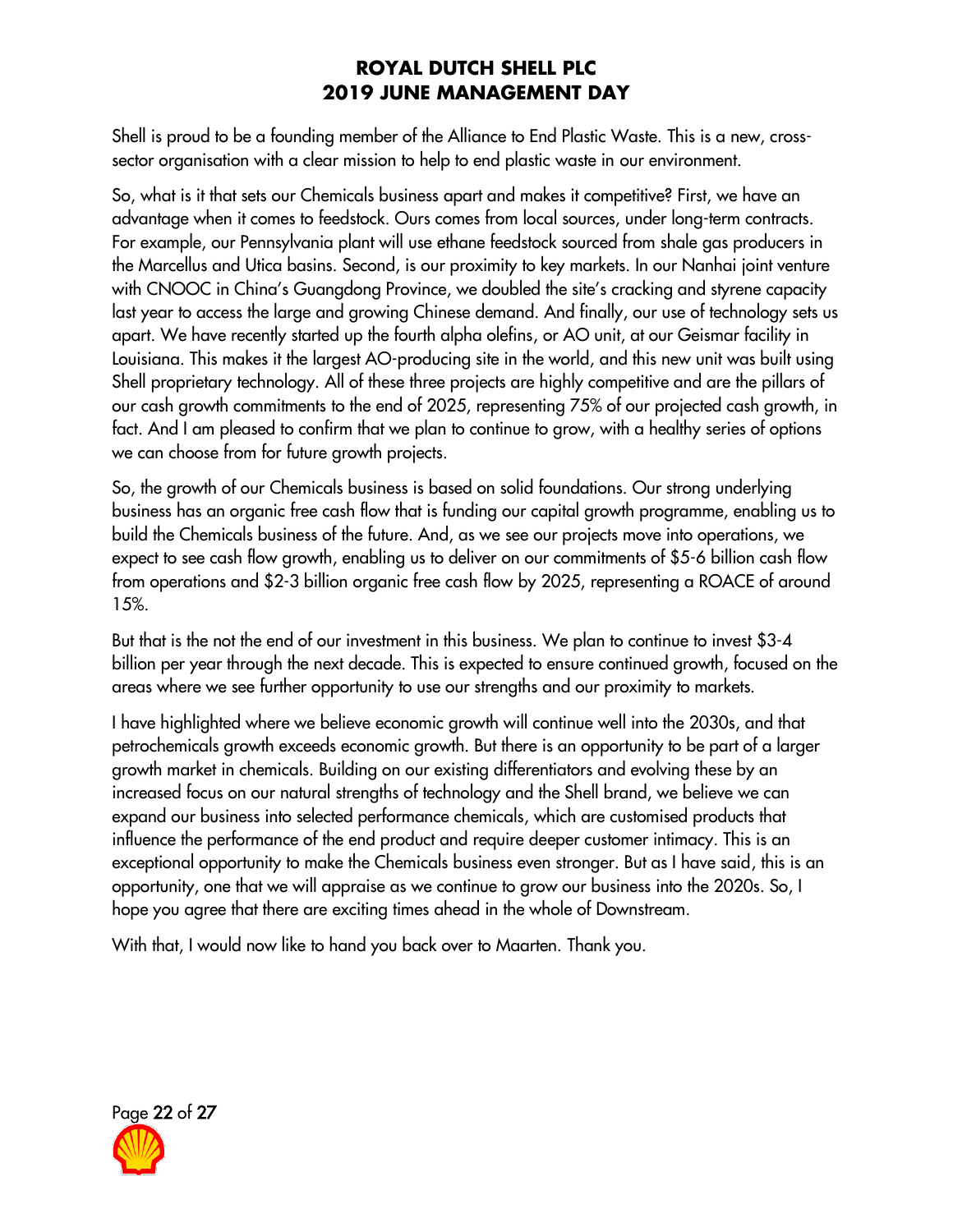Shell is proud to be a founding member of the Alliance to End Plastic Waste. This is a new, crosssector organisation with a clear mission to help to end plastic waste in our environment.

So, what is it that sets our Chemicals business apart and makes it competitive? First, we have an advantage when it comes to feedstock. Ours comes from local sources, under long-term contracts. For example, our Pennsylvania plant will use ethane feedstock sourced from shale gas producers in the Marcellus and Utica basins. Second, is our proximity to key markets. In our Nanhai joint venture with CNOOC in China's Guangdong Province, we doubled the site's cracking and styrene capacity last year to access the large and growing Chinese demand. And finally, our use of technology sets us apart. We have recently started up the fourth alpha olefins, or AO unit, at our Geismar facility in Louisiana. This makes it the largest AO-producing site in the world, and this new unit was built using Shell proprietary technology. All of these three projects are highly competitive and are the pillars of our cash growth commitments to the end of 2025, representing 75% of our projected cash growth, in fact. And I am pleased to confirm that we plan to continue to grow, with a healthy series of options we can choose from for future growth projects.

So, the growth of our Chemicals business is based on solid foundations. Our strong underlying business has an organic free cash flow that is funding our capital growth programme, enabling us to build the Chemicals business of the future. And, as we see our projects move into operations, we expect to see cash flow growth, enabling us to deliver on our commitments of \$5-6 billion cash flow from operations and \$2-3 billion organic free cash flow by 2025, representing a ROACE of around 15%.

But that is the not the end of our investment in this business. We plan to continue to invest \$3-4 billion per year through the next decade. This is expected to ensure continued growth, focused on the areas where we see further opportunity to use our strengths and our proximity to markets.

I have highlighted where we believe economic growth will continue well into the 2030s, and that petrochemicals growth exceeds economic growth. But there is an opportunity to be part of a larger growth market in chemicals. Building on our existing differentiators and evolving these by an increased focus on our natural strengths of technology and the Shell brand, we believe we can expand our business into selected performance chemicals, which are customised products that influence the performance of the end product and require deeper customer intimacy. This is an exceptional opportunity to make the Chemicals business even stronger. But as I have said, this is an opportunity, one that we will appraise as we continue to grow our business into the 2020s. So, I hope you agree that there are exciting times ahead in the whole of Downstream.

With that, I would now like to hand you back over to Maarten. Thank you.

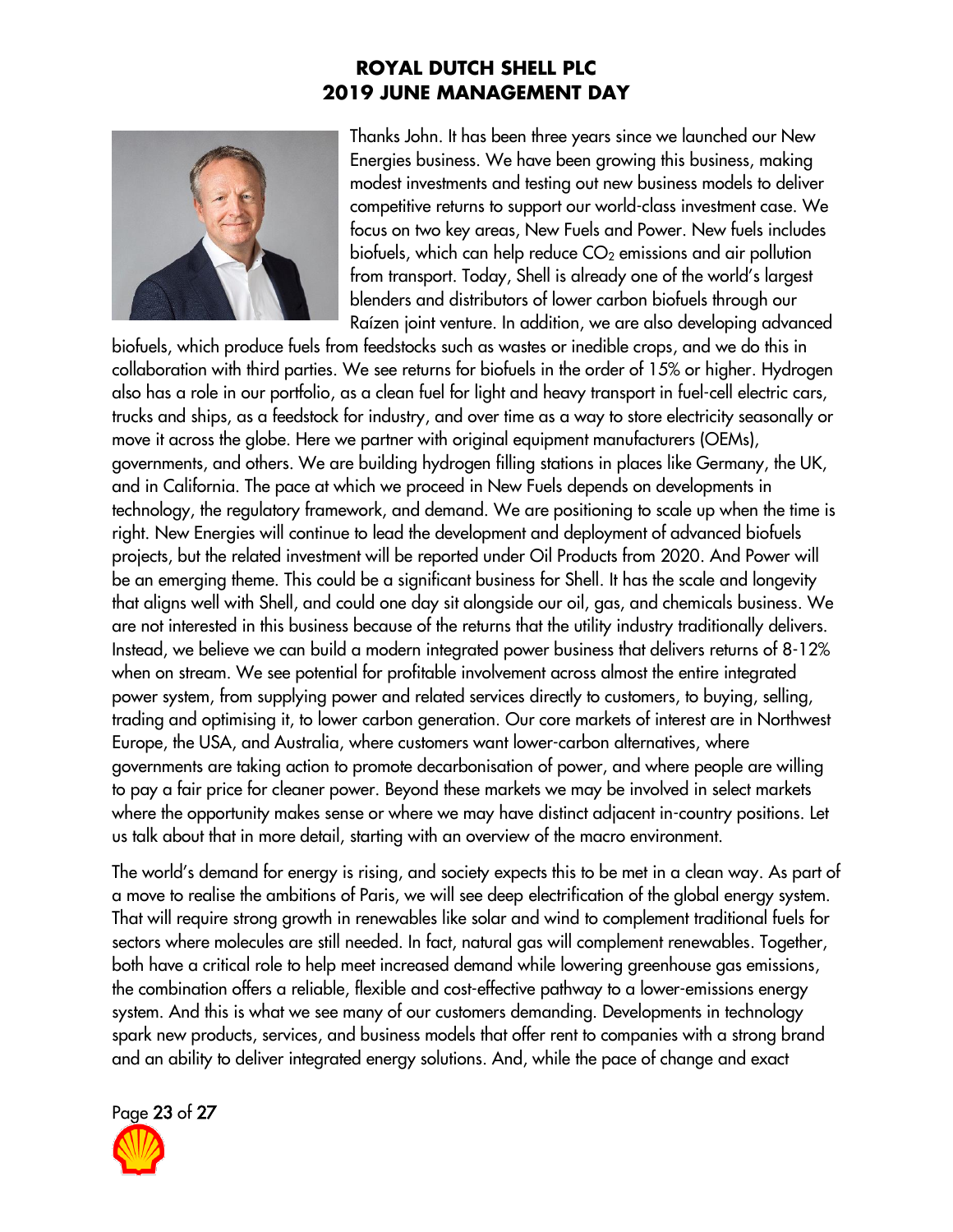

Thanks John. It has been three years since we launched our New Energies business. We have been growing this business, making modest investments and testing out new business models to deliver competitive returns to support our world-class investment case. We focus on two key areas, New Fuels and Power. New fuels includes biofuels, which can help reduce  $CO<sub>2</sub>$  emissions and air pollution from transport. Today, Shell is already one of the world's largest blenders and distributors of lower carbon biofuels through our Raízen joint venture. In addition, we are also developing advanced

biofuels, which produce fuels from feedstocks such as wastes or inedible crops, and we do this in collaboration with third parties. We see returns for biofuels in the order of 15% or higher. Hydrogen also has a role in our portfolio, as a clean fuel for light and heavy transport in fuel-cell electric cars, trucks and ships, as a feedstock for industry, and over time as a way to store electricity seasonally or move it across the globe. Here we partner with original equipment manufacturers (OEMs), governments, and others. We are building hydrogen filling stations in places like Germany, the UK, and in California. The pace at which we proceed in New Fuels depends on developments in technology, the regulatory framework, and demand. We are positioning to scale up when the time is right. New Energies will continue to lead the development and deployment of advanced biofuels projects, but the related investment will be reported under Oil Products from 2020. And Power will be an emerging theme. This could be a significant business for Shell. It has the scale and longevity that aligns well with Shell, and could one day sit alongside our oil, gas, and chemicals business. We are not interested in this business because of the returns that the utility industry traditionally delivers. Instead, we believe we can build a modern integrated power business that delivers returns of 8-12% when on stream. We see potential for profitable involvement across almost the entire integrated power system, from supplying power and related services directly to customers, to buying, selling, trading and optimising it, to lower carbon generation. Our core markets of interest are in Northwest Europe, the USA, and Australia, where customers want lower-carbon alternatives, where governments are taking action to promote decarbonisation of power, and where people are willing to pay a fair price for cleaner power. Beyond these markets we may be involved in select markets where the opportunity makes sense or where we may have distinct adjacent in-country positions. Let us talk about that in more detail, starting with an overview of the macro environment.

The world's demand for energy is rising, and society expects this to be met in a clean way. As part of a move to realise the ambitions of Paris, we will see deep electrification of the global energy system. That will require strong growth in renewables like solar and wind to complement traditional fuels for sectors where molecules are still needed. In fact, natural gas will complement renewables. Together, both have a critical role to help meet increased demand while lowering greenhouse gas emissions, the combination offers a reliable, flexible and cost-effective pathway to a lower-emissions energy system. And this is what we see many of our customers demanding. Developments in technology spark new products, services, and business models that offer rent to companies with a strong brand and an ability to deliver integrated energy solutions. And, while the pace of change and exact

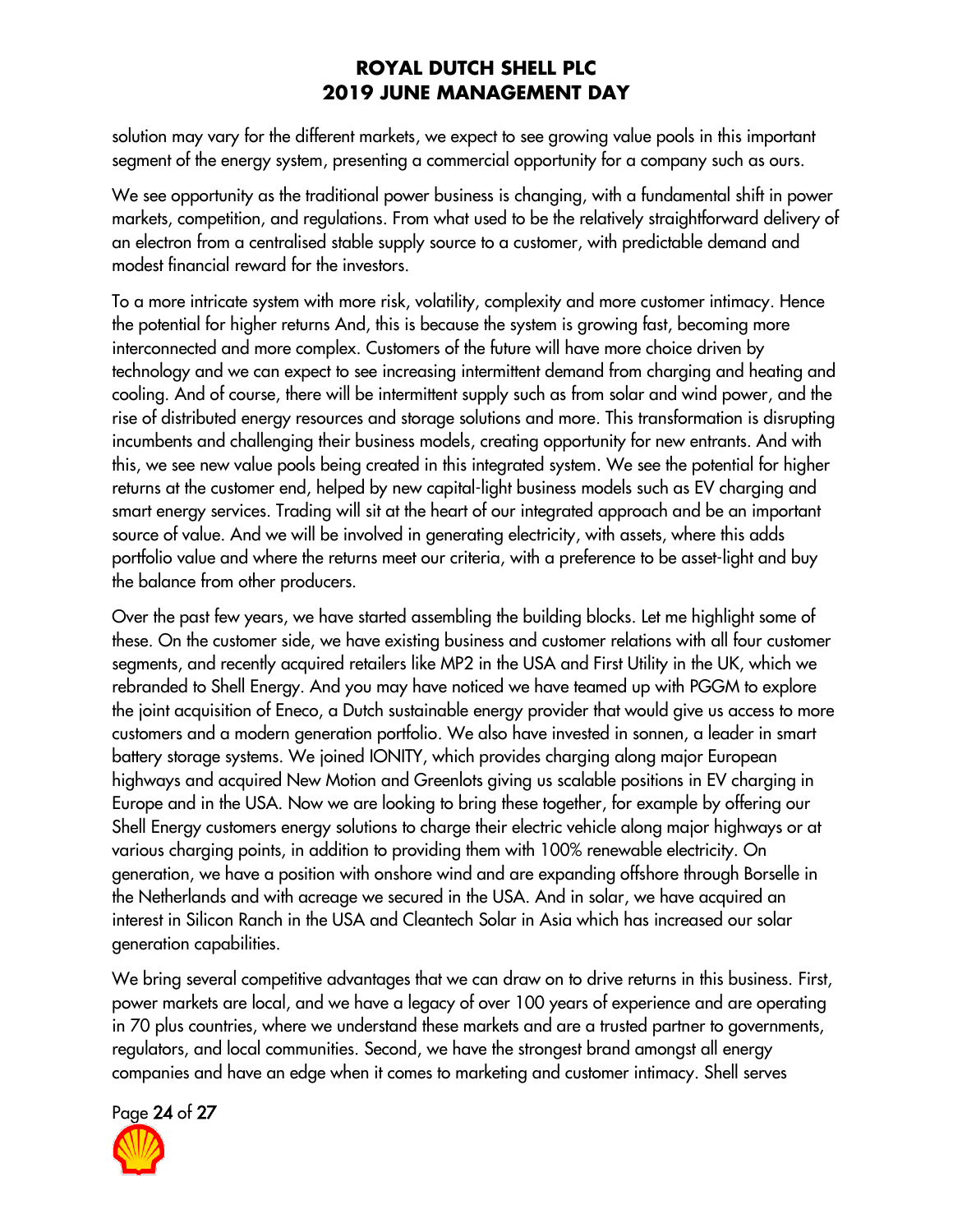solution may vary for the different markets, we expect to see growing value pools in this important segment of the energy system, presenting a commercial opportunity for a company such as ours.

We see opportunity as the traditional power business is changing, with a fundamental shift in power markets, competition, and regulations. From what used to be the relatively straightforward delivery of an electron from a centralised stable supply source to a customer, with predictable demand and modest financial reward for the investors.

To a more intricate system with more risk, volatility, complexity and more customer intimacy. Hence the potential for higher returns And, this is because the system is growing fast, becoming more interconnected and more complex. Customers of the future will have more choice driven by technology and we can expect to see increasing intermittent demand from charging and heating and cooling. And of course, there will be intermittent supply such as from solar and wind power, and the rise of distributed energy resources and storage solutions and more. This transformation is disrupting incumbents and challenging their business models, creating opportunity for new entrants. And with this, we see new value pools being created in this integrated system. We see the potential for higher returns at the customer end, helped by new capital-light business models such as EV charging and smart energy services. Trading will sit at the heart of our integrated approach and be an important source of value. And we will be involved in generating electricity, with assets, where this adds portfolio value and where the returns meet our criteria, with a preference to be asset-light and buy the balance from other producers.

Over the past few years, we have started assembling the building blocks. Let me highlight some of these. On the customer side, we have existing business and customer relations with all four customer segments, and recently acquired retailers like MP2 in the USA and First Utility in the UK, which we rebranded to Shell Energy. And you may have noticed we have teamed up with PGGM to explore the joint acquisition of Eneco, a Dutch sustainable energy provider that would give us access to more customers and a modern generation portfolio. We also have invested in sonnen, a leader in smart battery storage systems. We joined IONITY, which provides charging along major European highways and acquired New Motion and Greenlots giving us scalable positions in EV charging in Europe and in the USA. Now we are looking to bring these together, for example by offering our Shell Energy customers energy solutions to charge their electric vehicle along major highways or at various charging points, in addition to providing them with 100% renewable electricity. On generation, we have a position with onshore wind and are expanding offshore through Borselle in the Netherlands and with acreage we secured in the USA. And in solar, we have acquired an interest in Silicon Ranch in the USA and Cleantech Solar in Asia which has increased our solar generation capabilities.

We bring several competitive advantages that we can draw on to drive returns in this business. First, power markets are local, and we have a legacy of over 100 years of experience and are operating in 70 plus countries, where we understand these markets and are a trusted partner to governments, regulators, and local communities. Second, we have the strongest brand amongst all energy companies and have an edge when it comes to marketing and customer intimacy. Shell serves

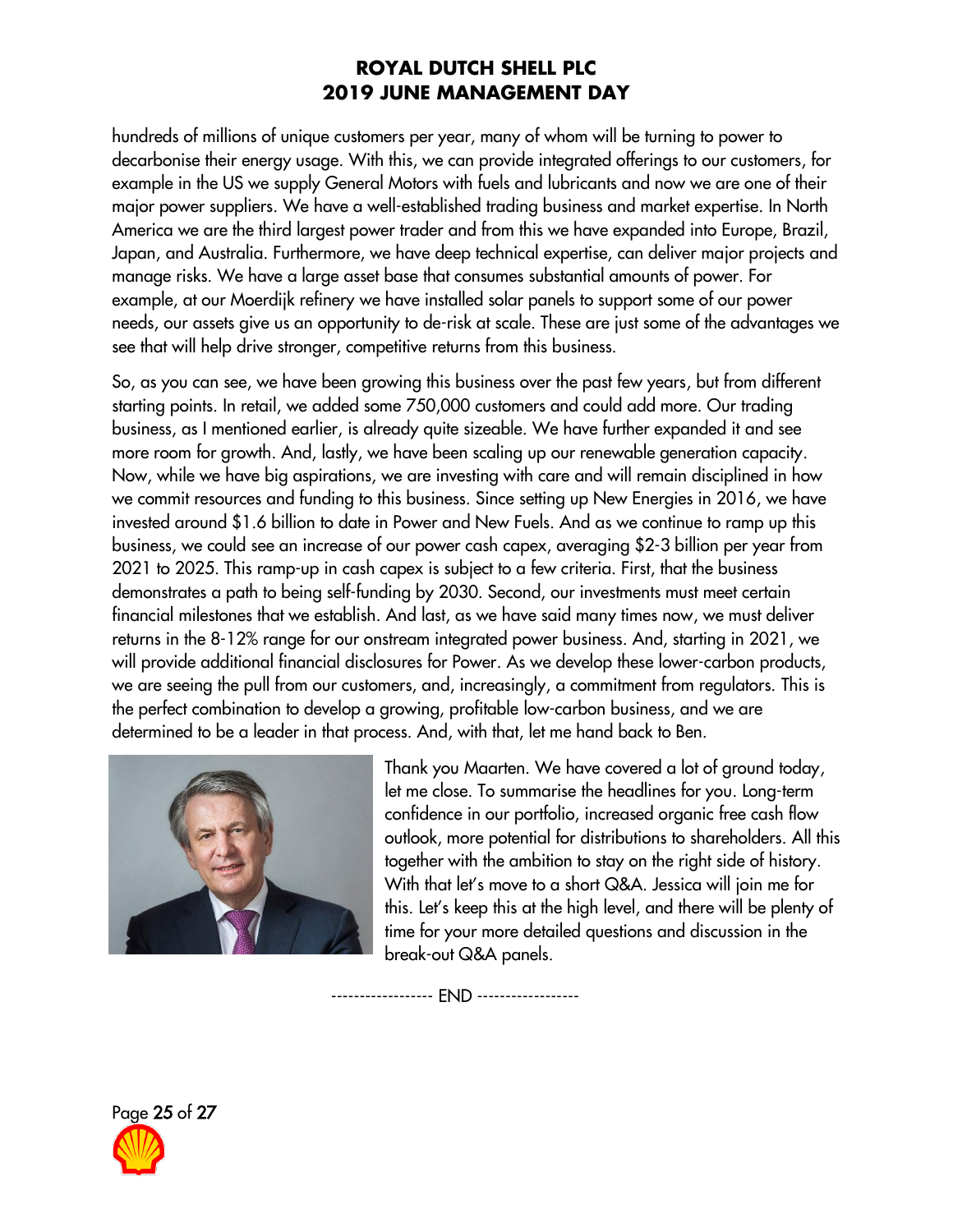hundreds of millions of unique customers per year, many of whom will be turning to power to decarbonise their energy usage. With this, we can provide integrated offerings to our customers, for example in the US we supply General Motors with fuels and lubricants and now we are one of their major power suppliers. We have a well-established trading business and market expertise. In North America we are the third largest power trader and from this we have expanded into Europe, Brazil, Japan, and Australia. Furthermore, we have deep technical expertise, can deliver major projects and manage risks. We have a large asset base that consumes substantial amounts of power. For example, at our Moerdijk refinery we have installed solar panels to support some of our power needs, our assets give us an opportunity to de-risk at scale. These are just some of the advantages we see that will help drive stronger, competitive returns from this business.

So, as you can see, we have been growing this business over the past few years, but from different starting points. In retail, we added some 750,000 customers and could add more. Our trading business, as I mentioned earlier, is already quite sizeable. We have further expanded it and see more room for growth. And, lastly, we have been scaling up our renewable generation capacity. Now, while we have big aspirations, we are investing with care and will remain disciplined in how we commit resources and funding to this business. Since setting up New Energies in 2016, we have invested around \$1.6 billion to date in Power and New Fuels. And as we continue to ramp up this business, we could see an increase of our power cash capex, averaging \$2-3 billion per year from 2021 to 2025. This ramp-up in cash capex is subject to a few criteria. First, that the business demonstrates a path to being self-funding by 2030. Second, our investments must meet certain financial milestones that we establish. And last, as we have said many times now, we must deliver returns in the 8-12% range for our onstream integrated power business. And, starting in 2021, we will provide additional financial disclosures for Power. As we develop these lower-carbon products, we are seeing the pull from our customers, and, increasingly, a commitment from regulators. This is the perfect combination to develop a growing, profitable low-carbon business, and we are determined to be a leader in that process. And, with that, let me hand back to Ben.



Thank you Maarten. We have covered a lot of ground today, let me close. To summarise the headlines for you. Long-term confidence in our portfolio, increased organic free cash flow outlook, more potential for distributions to shareholders. All this together with the ambition to stay on the right side of history. With that let's move to a short Q&A. Jessica will join me for this. Let's keep this at the high level, and there will be plenty of time for your more detailed questions and discussion in the break-out Q&A panels.

------------------ END ------------------

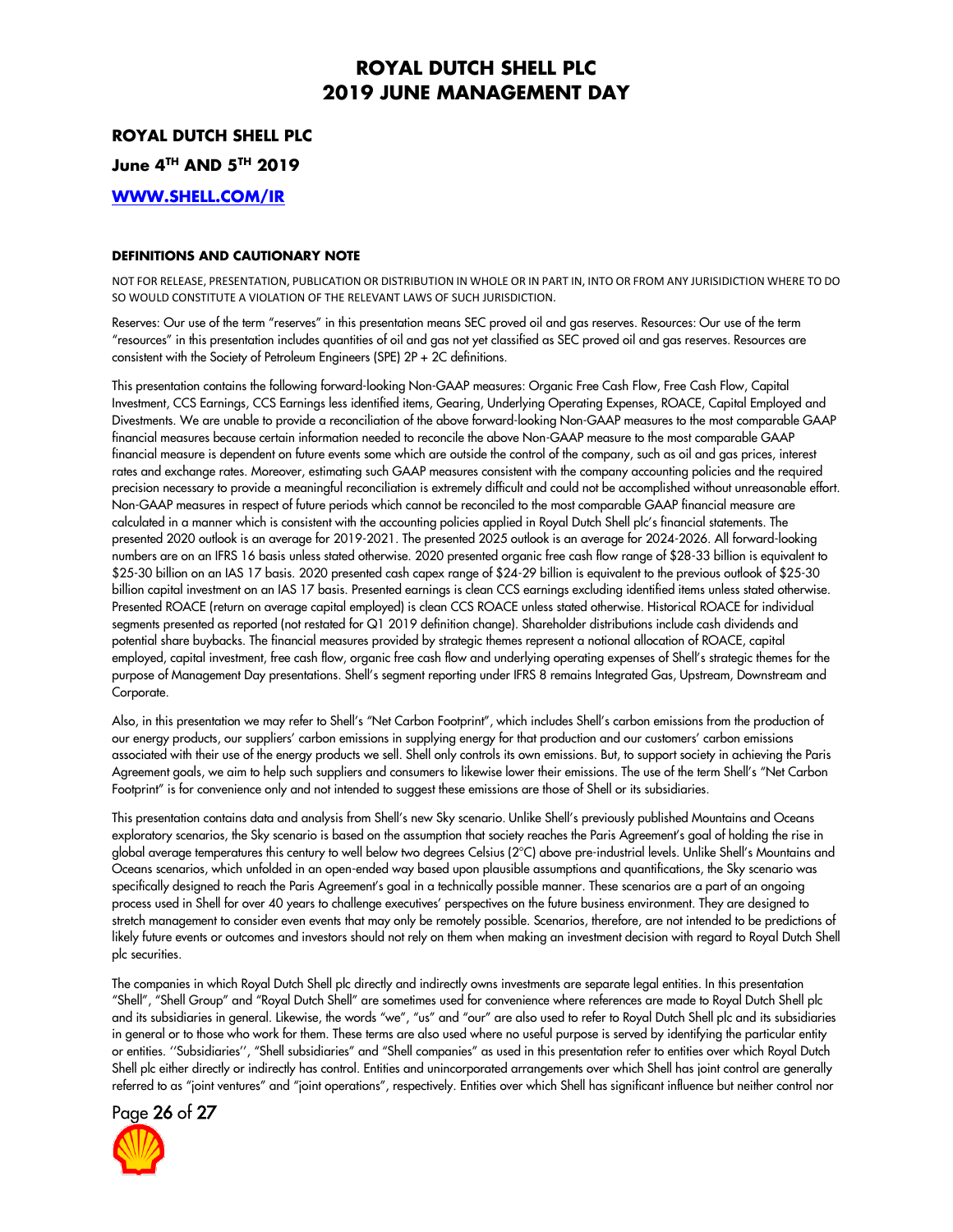**ROYAL DUTCH SHELL PLC**

**June 4TH AND 5 TH 2019**

**[WWW.SHELL.COM/IR](http://www.shell.com/ir)**

#### **DEFINITIONS AND CAUTIONARY NOTE**

NOT FOR RELEASE, PRESENTATION, PUBLICATION OR DISTRIBUTION IN WHOLE OR IN PART IN, INTO OR FROM ANY JURISIDICTION WHERE TO DO SO WOULD CONSTITUTE A VIOLATION OF THE RELEVANT LAWS OF SUCH JURISDICTION.

Reserves: Our use of the term "reserves" in this presentation means SEC proved oil and gas reserves. Resources: Our use of the term "resources" in this presentation includes quantities of oil and gas not yet classified as SEC proved oil and gas reserves. Resources are consistent with the Society of Petroleum Engineers (SPE) 2P + 2C definitions.

This presentation contains the following forward-looking Non-GAAP measures: Organic Free Cash Flow, Free Cash Flow, Capital Investment, CCS Earnings, CCS Earnings less identified items, Gearing, Underlying Operating Expenses, ROACE, Capital Employed and Divestments. We are unable to provide a reconciliation of the above forward-looking Non-GAAP measures to the most comparable GAAP financial measures because certain information needed to reconcile the above Non-GAAP measure to the most comparable GAAP financial measure is dependent on future events some which are outside the control of the company, such as oil and gas prices, interest rates and exchange rates. Moreover, estimating such GAAP measures consistent with the company accounting policies and the required precision necessary to provide a meaningful reconciliation is extremely difficult and could not be accomplished without unreasonable effort. Non-GAAP measures in respect of future periods which cannot be reconciled to the most comparable GAAP financial measure are calculated in a manner which is consistent with the accounting policies applied in Royal Dutch Shell plc's financial statements. The presented 2020 outlook is an average for 2019-2021. The presented 2025 outlook is an average for 2024-2026. All forward-looking numbers are on an IFRS 16 basis unless stated otherwise. 2020 presented organic free cash flow range of \$28-33 billion is equivalent to \$25-30 billion on an IAS 17 basis. 2020 presented cash capex range of \$24-29 billion is equivalent to the previous outlook of \$25-30 billion capital investment on an IAS 17 basis. Presented earnings is clean CCS earnings excluding identified items unless stated otherwise. Presented ROACE (return on average capital employed) is clean CCS ROACE unless stated otherwise. Historical ROACE for individual segments presented as reported (not restated for Q1 2019 definition change). Shareholder distributions include cash dividends and potential share buybacks. The financial measures provided by strategic themes represent a notional allocation of ROACE, capital employed, capital investment, free cash flow, organic free cash flow and underlying operating expenses of Shell's strategic themes for the purpose of Management Day presentations. Shell's segment reporting under IFRS 8 remains Integrated Gas, Upstream, Downstream and Corporate.

Also, in this presentation we may refer to Shell's "Net Carbon Footprint", which includes Shell's carbon emissions from the production of our energy products, our suppliers' carbon emissions in supplying energy for that production and our customers' carbon emissions associated with their use of the energy products we sell. Shell only controls its own emissions. But, to support society in achieving the Paris Agreement goals, we aim to help such suppliers and consumers to likewise lower their emissions. The use of the term Shell's "Net Carbon Footprint" is for convenience only and not intended to suggest these emissions are those of Shell or its subsidiaries.

This presentation contains data and analysis from Shell's new Sky scenario. Unlike Shell's previously published Mountains and Oceans exploratory scenarios, the Sky scenario is based on the assumption that society reaches the Paris Agreement's goal of holding the rise in global average temperatures this century to well below two degrees Celsius (2°C) above pre-industrial levels. Unlike Shell's Mountains and Oceans scenarios, which unfolded in an open-ended way based upon plausible assumptions and quantifications, the Sky scenario was specifically designed to reach the Paris Agreement's goal in a technically possible manner. These scenarios are a part of an ongoing process used in Shell for over 40 years to challenge executives' perspectives on the future business environment. They are designed to stretch management to consider even events that may only be remotely possible. Scenarios, therefore, are not intended to be predictions of likely future events or outcomes and investors should not rely on them when making an investment decision with regard to Royal Dutch Shell plc securities.

The companies in which Royal Dutch Shell plc directly and indirectly owns investments are separate legal entities. In this presentation "Shell", "Shell Group" and "Royal Dutch Shell" are sometimes used for convenience where references are made to Royal Dutch Shell plc and its subsidiaries in general. Likewise, the words "we", "us" and "our" are also used to refer to Royal Dutch Shell plc and its subsidiaries in general or to those who work for them. These terms are also used where no useful purpose is served by identifying the particular entity or entities. ''Subsidiaries'', "Shell subsidiaries" and "Shell companies" as used in this presentation refer to entities over which Royal Dutch Shell plc either directly or indirectly has control. Entities and unincorporated arrangements over which Shell has joint control are generally referred to as "joint ventures" and "joint operations", respectively. Entities over which Shell has significant influence but neither control nor